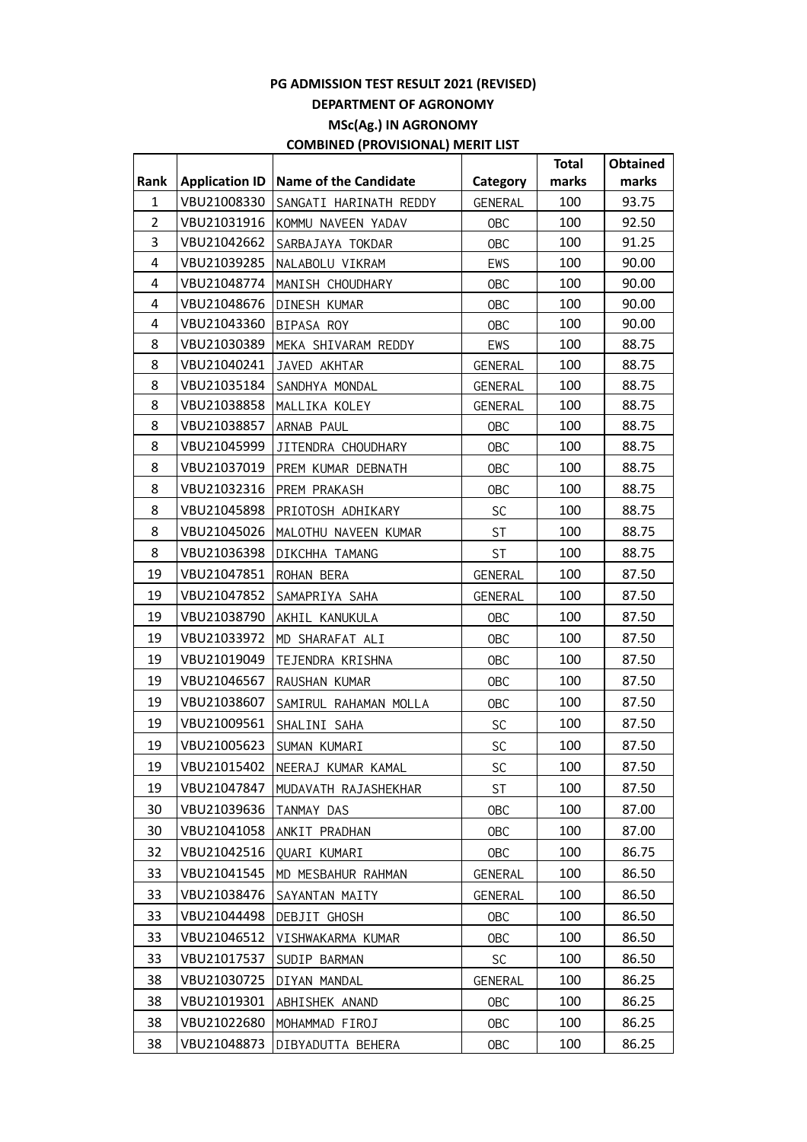|                |                       |                              |                | <b>Total</b> | <b>Obtained</b> |
|----------------|-----------------------|------------------------------|----------------|--------------|-----------------|
| Rank           | <b>Application ID</b> | <b>Name of the Candidate</b> | Category       | marks        | marks           |
| $\mathbf{1}$   | VBU21008330           | SANGATI HARINATH REDDY       | <b>GENERAL</b> | 100          | 93.75           |
| $\overline{2}$ | VBU21031916           | KOMMU NAVEEN YADAV           | <b>OBC</b>     | 100          | 92.50           |
| 3              | VBU21042662           | SARBAJAYA TOKDAR             | <b>OBC</b>     | 100          | 91.25           |
| 4              | VBU21039285           | NALABOLU VIKRAM              | EWS            | 100          | 90.00           |
| 4              | VBU21048774           | MANISH CHOUDHARY             | <b>OBC</b>     | 100          | 90.00           |
| 4              | VBU21048676           | DINESH KUMAR                 | <b>OBC</b>     | 100          | 90.00           |
| 4              | VBU21043360           | BIPASA ROY                   | <b>OBC</b>     | 100          | 90.00           |
| 8              | VBU21030389           | MEKA SHIVARAM REDDY          | EWS            | 100          | 88.75           |
| 8              | VBU21040241           | JAVED AKHTAR                 | <b>GENERAL</b> | 100          | 88.75           |
| 8              | VBU21035184           | SANDHYA MONDAL               | GENERAL        | 100          | 88.75           |
| 8              | VBU21038858           | MALLIKA KOLEY                | GENERAL        | 100          | 88.75           |
| 8              | VBU21038857           | ARNAB PAUL                   | <b>OBC</b>     | 100          | 88.75           |
| 8              | VBU21045999           | JITENDRA CHOUDHARY           | <b>OBC</b>     | 100          | 88.75           |
| 8              | VBU21037019           | PREM KUMAR DEBNATH           | <b>OBC</b>     | 100          | 88.75           |
| 8              | VBU21032316           | PREM PRAKASH                 | <b>OBC</b>     | 100          | 88.75           |
| 8              | VBU21045898           | PRIOTOSH ADHIKARY            | SC             | 100          | 88.75           |
| 8              | VBU21045026           | MALOTHU NAVEEN KUMAR         | <b>ST</b>      | 100          | 88.75           |
| 8              | VBU21036398           | DIKCHHA TAMANG               | <b>ST</b>      | 100          | 88.75           |
| 19             | VBU21047851           | ROHAN BERA                   | GENERAL        | 100          | 87.50           |
| 19             | VBU21047852           | SAMAPRIYA SAHA               | <b>GENERAL</b> | 100          | 87.50           |
| 19             | VBU21038790           | AKHIL KANUKULA               | <b>OBC</b>     | 100          | 87.50           |
| 19             | VBU21033972           | MD SHARAFAT ALI              | <b>OBC</b>     | 100          | 87.50           |
| 19             | VBU21019049           | TEJENDRA KRISHNA             | <b>OBC</b>     | 100          | 87.50           |
| 19             | VBU21046567           | RAUSHAN KUMAR                | <b>OBC</b>     | 100          | 87.50           |
| 19             | VBU21038607           | SAMIRUL RAHAMAN MOLLA        | <b>OBC</b>     | 100          | 87.50           |
| 19             | VBU21009561           | SHALINI SAHA                 | SC             | 100          | 87.50           |
| 19             | VBU21005623           | SUMAN KUMARI                 | SC             | 100          | 87.50           |
| 19             | VBU21015402           | NEERAJ KUMAR KAMAL           | <b>SC</b>      | 100          | 87.50           |
| 19             | VBU21047847           | MUDAVATH RAJASHEKHAR         | ST             | 100          | 87.50           |
| 30             | VBU21039636           | TANMAY DAS                   | <b>OBC</b>     | 100          | 87.00           |
| 30             | VBU21041058           | ANKIT PRADHAN                | 0BC            | 100          | 87.00           |
| 32             | VBU21042516           | QUARI KUMARI                 | 0BC            | 100          | 86.75           |
| 33             | VBU21041545           | MD MESBAHUR RAHMAN           | <b>GENERAL</b> | 100          | 86.50           |
| 33             | VBU21038476           | SAYANTAN MAITY               | <b>GENERAL</b> | 100          | 86.50           |
| 33             | VBU21044498           | DEBJIT GHOSH                 | 0BC            | 100          | 86.50           |
| 33             | VBU21046512           | VISHWAKARMA KUMAR            | 0BC            | 100          | 86.50           |
| 33             | VBU21017537           | SUDIP BARMAN                 | <b>SC</b>      | 100          | 86.50           |
| 38             | VBU21030725           |                              |                | 100          | 86.25           |
| 38             |                       | DIYAN MANDAL                 | GENERAL        |              |                 |
|                | VBU21019301           | ABHISHEK ANAND               | <b>OBC</b>     | 100          | 86.25           |
| 38             | VBU21022680           | MOHAMMAD FIROJ               | 0BC            | 100          | 86.25           |
| 38             | VBU21048873           | DIBYADUTTA BEHERA            | 0BC            | 100          | 86.25           |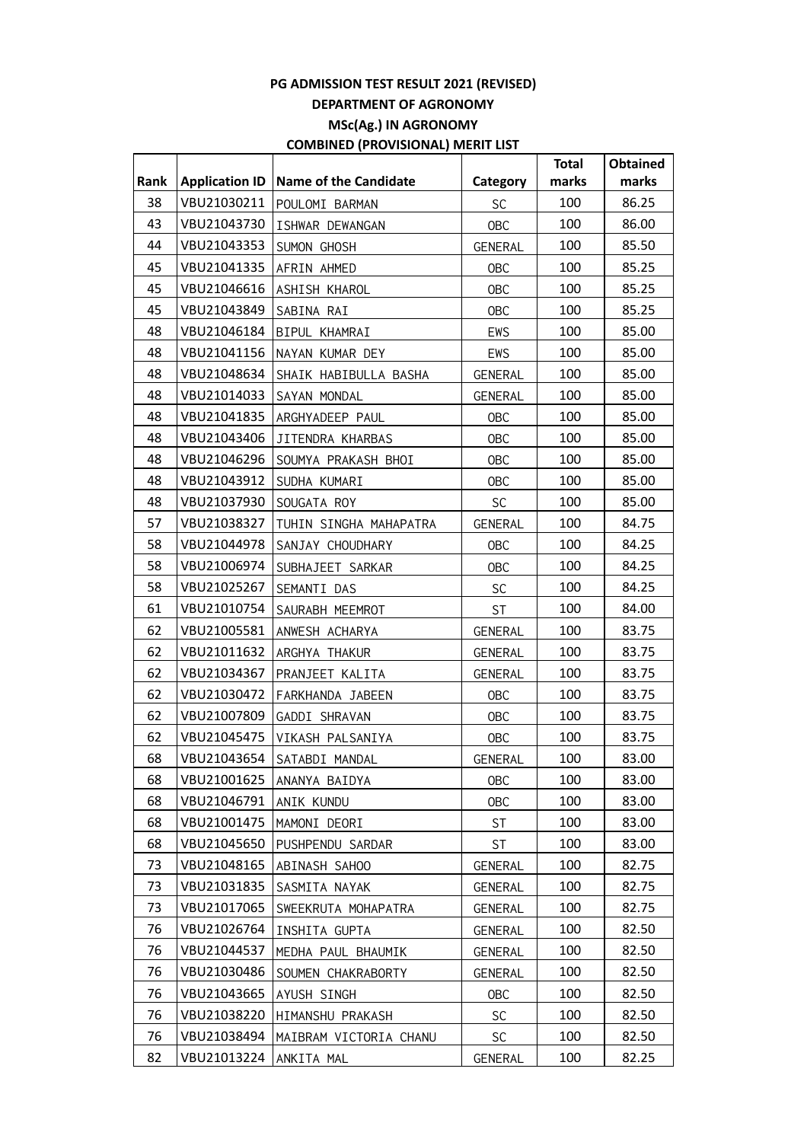|      |                       |                              |                | <b>Total</b> | <b>Obtained</b> |
|------|-----------------------|------------------------------|----------------|--------------|-----------------|
| Rank | <b>Application ID</b> | <b>Name of the Candidate</b> | Category       | marks        | marks           |
| 38   | VBU21030211           | POULOMI BARMAN               | <b>SC</b>      | 100          | 86.25           |
| 43   | VBU21043730           | ISHWAR DEWANGAN              | OBC            | 100          | 86.00           |
| 44   | VBU21043353           | SUMON GHOSH                  | <b>GENERAL</b> | 100          | 85.50           |
| 45   | VBU21041335           | AFRIN AHMED                  | <b>OBC</b>     | 100          | 85.25           |
| 45   | VBU21046616           | ASHISH KHAROL                | OBC            | 100          | 85.25           |
| 45   | VBU21043849           | SABINA RAI                   | OBC            | 100          | 85.25           |
| 48   | VBU21046184           | BIPUL KHAMRAI                | EWS            | 100          | 85.00           |
| 48   | VBU21041156           | NAYAN KUMAR DEY              | EWS            | 100          | 85.00           |
| 48   | VBU21048634           | SHAIK HABIBULLA BASHA        | GENERAL        | 100          | 85.00           |
| 48   | VBU21014033           | SAYAN MONDAL                 | GENERAL        | 100          | 85.00           |
| 48   | VBU21041835           | ARGHYADEEP PAUL              | OBC            | 100          | 85.00           |
| 48   | VBU21043406           | JITENDRA KHARBAS             | <b>OBC</b>     | 100          | 85.00           |
| 48   | VBU21046296           | SOUMYA PRAKASH BHOI          | OBC            | 100          | 85.00           |
| 48   | VBU21043912           | SUDHA KUMARI                 | <b>OBC</b>     | 100          | 85.00           |
| 48   | VBU21037930           | SOUGATA ROY                  | <b>SC</b>      | 100          | 85.00           |
| 57   | VBU21038327           | TUHIN SINGHA MAHAPATRA       | GENERAL        | 100          | 84.75           |
| 58   | VBU21044978           | SANJAY CHOUDHARY             | OBC            | 100          | 84.25           |
| 58   | VBU21006974           | SUBHAJEET SARKAR             | OBC            | 100          | 84.25           |
| 58   | VBU21025267           | SEMANTI DAS                  | <b>SC</b>      | 100          | 84.25           |
| 61   | VBU21010754           | SAURABH MEEMROT              | <b>ST</b>      | 100          | 84.00           |
| 62   | VBU21005581           | ANWESH ACHARYA               | GENERAL        | 100          | 83.75           |
| 62   | VBU21011632           | ARGHYA THAKUR                | <b>GENERAL</b> | 100          | 83.75           |
| 62   | VBU21034367           | PRANJEET KALITA              | <b>GENERAL</b> | 100          | 83.75           |
| 62   | VBU21030472           | FARKHANDA JABEEN             | OBC            | 100          | 83.75           |
| 62   | VBU21007809           | GADDI SHRAVAN                | OBC            | 100          | 83.75           |
| 62   | VBU21045475           | VIKASH PALSANIYA             | OBC            | 100          | 83.75           |
| 68   | VBU21043654           | SATABDI MANDAL               | GENERAL        | 100          | 83.00           |
| 68   | VBU21001625           | ANANYA BAIDYA                | <b>OBC</b>     | 100          | 83.00           |
| 68   | VBU21046791           | ANIK KUNDU                   | <b>OBC</b>     | 100          | 83.00           |
| 68   | VBU21001475           | MAMONI DEORI                 | <b>ST</b>      | 100          | 83.00           |
| 68   | VBU21045650           | PUSHPENDU SARDAR             | ST             | 100          | 83.00           |
| 73   | VBU21048165           | ABINASH SAHOO                | GENERAL        | 100          | 82.75           |
| 73   | VBU21031835           | SASMITA NAYAK                | <b>GENERAL</b> | 100          | 82.75           |
| 73   | VBU21017065           | SWEEKRUTA MOHAPATRA          | <b>GENERAL</b> | 100          | 82.75           |
| 76   | VBU21026764           | INSHITA GUPTA                | GENERAL        | 100          | 82.50           |
| 76   | VBU21044537           | MEDHA PAUL BHAUMIK           | GENERAL        | 100          | 82.50           |
| 76   | VBU21030486           | SOUMEN CHAKRABORTY           | <b>GENERAL</b> | 100          | 82.50           |
| 76   | VBU21043665           | AYUSH SINGH                  | <b>OBC</b>     | 100          | 82.50           |
| 76   | VBU21038220           | HIMANSHU PRAKASH             | <b>SC</b>      | 100          | 82.50           |
| 76   | VBU21038494           | MAIBRAM VICTORIA CHANU       | <b>SC</b>      | 100          | 82.50           |
| 82   | VBU21013224           | ANKITA MAL                   | <b>GENERAL</b> | 100          | 82.25           |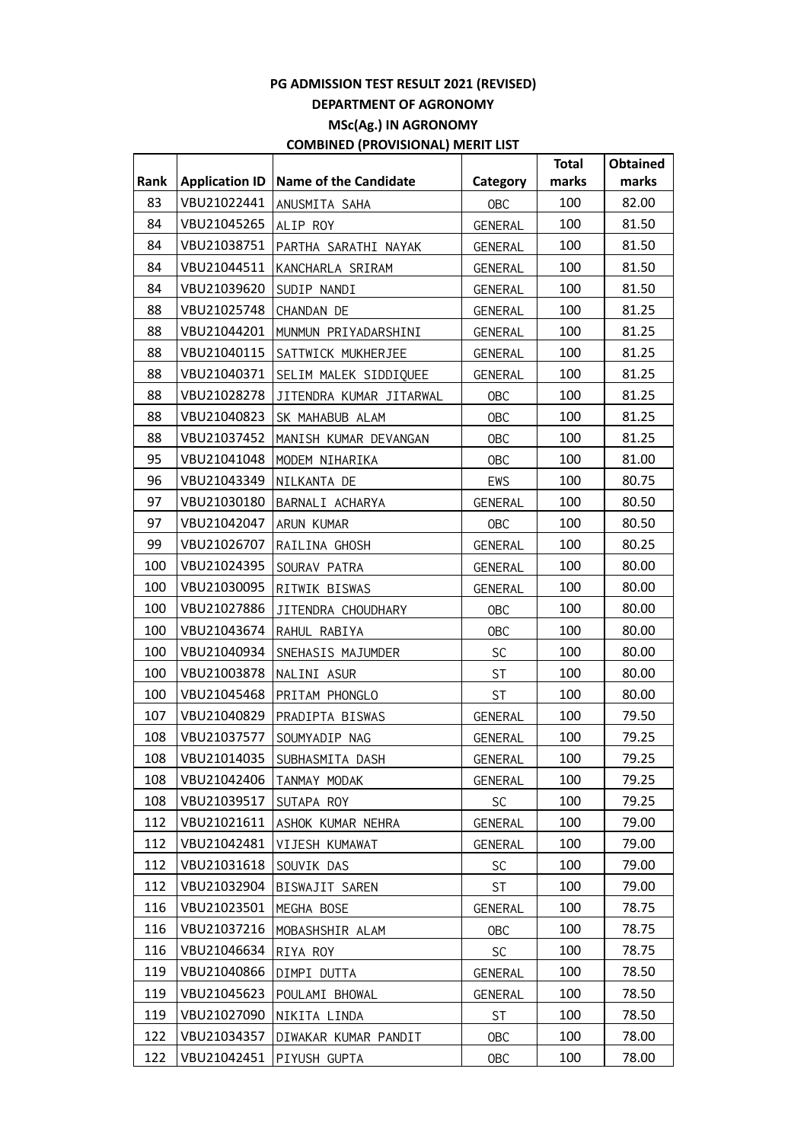|      |                       |                              |                | <b>Total</b> | <b>Obtained</b> |
|------|-----------------------|------------------------------|----------------|--------------|-----------------|
| Rank | <b>Application ID</b> | <b>Name of the Candidate</b> | Category       | marks        | marks           |
| 83   | VBU21022441           | ANUSMITA SAHA                | <b>OBC</b>     | 100          | 82.00           |
| 84   | VBU21045265           | ALIP ROY                     | <b>GENERAL</b> | 100          | 81.50           |
| 84   | VBU21038751           | PARTHA SARATHI NAYAK         | <b>GENERAL</b> | 100          | 81.50           |
| 84   | VBU21044511           | KANCHARLA SRIRAM             | <b>GENERAL</b> | 100          | 81.50           |
| 84   | VBU21039620           | SUDIP NANDI                  | GENERAL        | 100          | 81.50           |
| 88   | VBU21025748           | CHANDAN DE                   | <b>GENERAL</b> | 100          | 81.25           |
| 88   | VBU21044201           | MUNMUN PRIYADARSHINI         | <b>GENERAL</b> | 100          | 81.25           |
| 88   | VBU21040115           | SATTWICK MUKHERJEE           | <b>GENERAL</b> | 100          | 81.25           |
| 88   | VBU21040371           | SELIM MALEK SIDDIQUEE        | <b>GENERAL</b> | 100          | 81.25           |
| 88   | VBU21028278           | JITENDRA KUMAR JITARWAL      | <b>OBC</b>     | 100          | 81.25           |
| 88   | VBU21040823           | SK MAHABUB ALAM              | <b>OBC</b>     | 100          | 81.25           |
| 88   | VBU21037452           | MANISH KUMAR DEVANGAN        | <b>OBC</b>     | 100          | 81.25           |
| 95   | VBU21041048           | MODEM NIHARIKA               | <b>OBC</b>     | 100          | 81.00           |
| 96   | VBU21043349           | NILKANTA DE                  | <b>EWS</b>     | 100          | 80.75           |
| 97   | VBU21030180           | BARNALI ACHARYA              | <b>GENERAL</b> | 100          | 80.50           |
| 97   | VBU21042047           | ARUN KUMAR                   | <b>OBC</b>     | 100          | 80.50           |
| 99   | VBU21026707           | RAILINA GHOSH                | <b>GENERAL</b> | 100          | 80.25           |
| 100  | VBU21024395           | SOURAV PATRA                 | <b>GENERAL</b> | 100          | 80.00           |
| 100  | VBU21030095           | RITWIK BISWAS                | <b>GENERAL</b> | 100          | 80.00           |
| 100  | VBU21027886           | JITENDRA CHOUDHARY           | <b>OBC</b>     | 100          | 80.00           |
| 100  | VBU21043674           | RAHUL RABIYA                 | <b>OBC</b>     | 100          | 80.00           |
| 100  | VBU21040934           | SNEHASIS MAJUMDER            | SC             | 100          | 80.00           |
| 100  | VBU21003878           | NALINI ASUR                  | <b>ST</b>      | 100          | 80.00           |
| 100  | VBU21045468           | PRITAM PHONGLO               | <b>ST</b>      | 100          | 80.00           |
| 107  | VBU21040829           | PRADIPTA BISWAS              | <b>GENERAL</b> | 100          | 79.50           |
| 108  | VBU21037577           | SOUMYADIP NAG                | <b>GENERAL</b> | 100          | 79.25           |
| 108  | VBU21014035           | SUBHASMITA DASH              | GENERAL        | 100          | 79.25           |
| 108  | VBU21042406           | TANMAY MODAK                 | <b>GENERAL</b> | 100          | 79.25           |
| 108  | VBU21039517           | SUTAPA ROY                   | <b>SC</b>      | 100          | 79.25           |
| 112  | VBU21021611           | ASHOK KUMAR NEHRA            | <b>GENERAL</b> | 100          | 79.00           |
| 112  | VBU21042481           | VIJESH KUMAWAT               | <b>GENERAL</b> | 100          | 79.00           |
| 112  | VBU21031618           | SOUVIK DAS                   | SC             | 100          | 79.00           |
| 112  | VBU21032904           | BISWAJIT SAREN               | ST             | 100          | 79.00           |
| 116  | VBU21023501           | MEGHA BOSE                   | <b>GENERAL</b> | 100          | 78.75           |
| 116  | VBU21037216           | MOBASHSHIR ALAM              | <b>OBC</b>     | 100          | 78.75           |
| 116  | VBU21046634           | RIYA ROY                     | <b>SC</b>      | 100          | 78.75           |
| 119  | VBU21040866           | DIMPI DUTTA                  | <b>GENERAL</b> | 100          | 78.50           |
| 119  | VBU21045623           | POULAMI BHOWAL               | <b>GENERAL</b> | 100          | 78.50           |
| 119  | VBU21027090           | NIKITA LINDA                 | ST             | 100          | 78.50           |
| 122  | VBU21034357           | DIWAKAR KUMAR PANDIT         | <b>OBC</b>     | 100          | 78.00           |
| 122  | VBU21042451           | PIYUSH GUPTA                 | <b>OBC</b>     | 100          | 78.00           |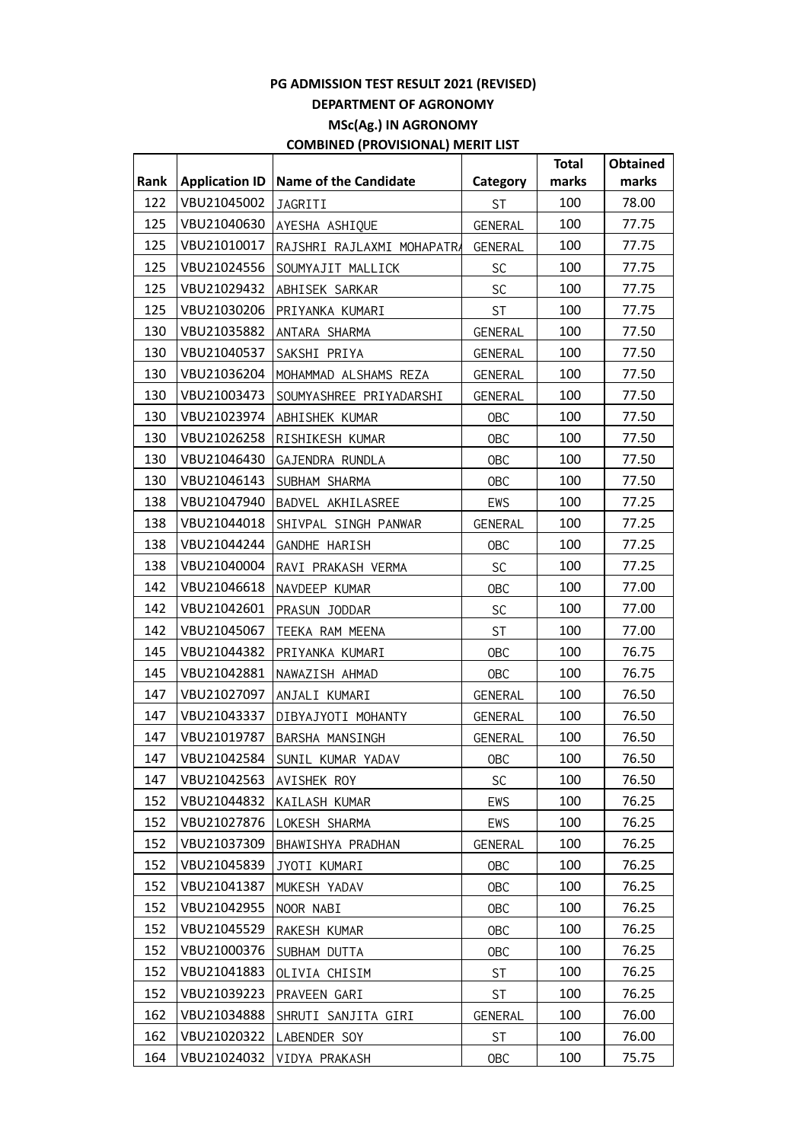|      |                       |                               |                | <b>Total</b> | <b>Obtained</b> |
|------|-----------------------|-------------------------------|----------------|--------------|-----------------|
| Rank | <b>Application ID</b> | <b>Name of the Candidate</b>  | Category       | marks        | marks           |
| 122  | VBU21045002           | JAGRITI                       | <b>ST</b>      | 100          | 78.00           |
| 125  | VBU21040630           | AYESHA ASHIQUE                | <b>GENERAL</b> | 100          | 77.75           |
| 125  | VBU21010017           | RAJSHRI RAJLAXMI MOHAPATRA    | <b>GENERAL</b> | 100          | 77.75           |
| 125  | VBU21024556           | SOUMYAJIT MALLICK             | SC             | 100          | 77.75           |
| 125  | VBU21029432           | ABHISEK SARKAR                | <b>SC</b>      | 100          | 77.75           |
| 125  | VBU21030206           | PRIYANKA KUMARI               | <b>ST</b>      | 100          | 77.75           |
| 130  | VBU21035882           | ANTARA SHARMA                 | <b>GENERAL</b> | 100          | 77.50           |
| 130  | VBU21040537           | SAKSHI PRIYA                  | <b>GENERAL</b> | 100          | 77.50           |
| 130  | VBU21036204           | MOHAMMAD ALSHAMS REZA         | GENERAL        | 100          | 77.50           |
| 130  | VBU21003473           | SOUMYASHREE PRIYADARSHI       | <b>GENERAL</b> | 100          | 77.50           |
| 130  | VBU21023974           | ABHISHEK KUMAR                | <b>OBC</b>     | 100          | 77.50           |
| 130  | VBU21026258           | RISHIKESH KUMAR               | <b>OBC</b>     | 100          | 77.50           |
| 130  | VBU21046430           | GAJENDRA RUNDLA               | <b>OBC</b>     | 100          | 77.50           |
| 130  | VBU21046143           | SUBHAM SHARMA                 | <b>OBC</b>     | 100          | 77.50           |
| 138  | VBU21047940           | BADVEL AKHILASREE             | EWS            | 100          | 77.25           |
| 138  | VBU21044018           | SHIVPAL SINGH PANWAR          | <b>GENERAL</b> | 100          | 77.25           |
| 138  | VBU21044244           | GANDHE HARISH                 | <b>OBC</b>     | 100          | 77.25           |
| 138  | VBU21040004           | RAVI PRAKASH VERMA            | <b>SC</b>      | 100          | 77.25           |
| 142  | VBU21046618           | NAVDEEP KUMAR                 | <b>OBC</b>     | 100          | 77.00           |
| 142  | VBU21042601           | PRASUN JODDAR                 | <b>SC</b>      | 100          | 77.00           |
| 142  | VBU21045067           | TEEKA RAM MEENA               | <b>ST</b>      | 100          | 77.00           |
| 145  | VBU21044382           | PRIYANKA KUMARI               | <b>OBC</b>     | 100          | 76.75           |
| 145  | VBU21042881           | NAWAZISH AHMAD                | <b>OBC</b>     | 100          | 76.75           |
| 147  | VBU21027097           | ANJALI KUMARI                 | GENERAL        | 100          | 76.50           |
| 147  | VBU21043337           | DIBYAJYOTI MOHANTY            | <b>GENERAL</b> | 100          | 76.50           |
| 147  | VBU21019787           | BARSHA MANSINGH               | <b>GENERAL</b> | 100          | 76.50           |
| 147  |                       | VBU21042584 SUNIL KUMAR YADAV | <b>OBC</b>     | 100          | 76.50           |
| 147  | VBU21042563           | AVISHEK ROY                   | <b>SC</b>      | 100          | 76.50           |
| 152  | VBU21044832           | KAILASH KUMAR                 | EWS            | 100          | 76.25           |
| 152  | VBU21027876           | LOKESH SHARMA                 | EWS            | 100          | 76.25           |
| 152  | VBU21037309           | BHAWISHYA PRADHAN             | <b>GENERAL</b> | 100          | 76.25           |
| 152  | VBU21045839           | JYOTI KUMARI                  | <b>OBC</b>     | 100          | 76.25           |
| 152  | VBU21041387           | MUKESH YADAV                  | <b>OBC</b>     | 100          | 76.25           |
| 152  | VBU21042955           | NOOR NABI                     | <b>OBC</b>     | 100          | 76.25           |
| 152  | VBU21045529           | RAKESH KUMAR                  | <b>OBC</b>     | 100          | 76.25           |
| 152  | VBU21000376           | SUBHAM DUTTA                  | <b>OBC</b>     | 100          | 76.25           |
| 152  | VBU21041883           | OLIVIA CHISIM                 | <b>ST</b>      | 100          | 76.25           |
| 152  | VBU21039223           | PRAVEEN GARI                  | <b>ST</b>      | 100          | 76.25           |
| 162  | VBU21034888           | SHRUTI SANJITA GIRI           | <b>GENERAL</b> | 100          | 76.00           |
| 162  | VBU21020322           | LABENDER SOY                  | <b>ST</b>      | 100          | 76.00           |
| 164  | VBU21024032           | VIDYA PRAKASH                 | <b>OBC</b>     | 100          | 75.75           |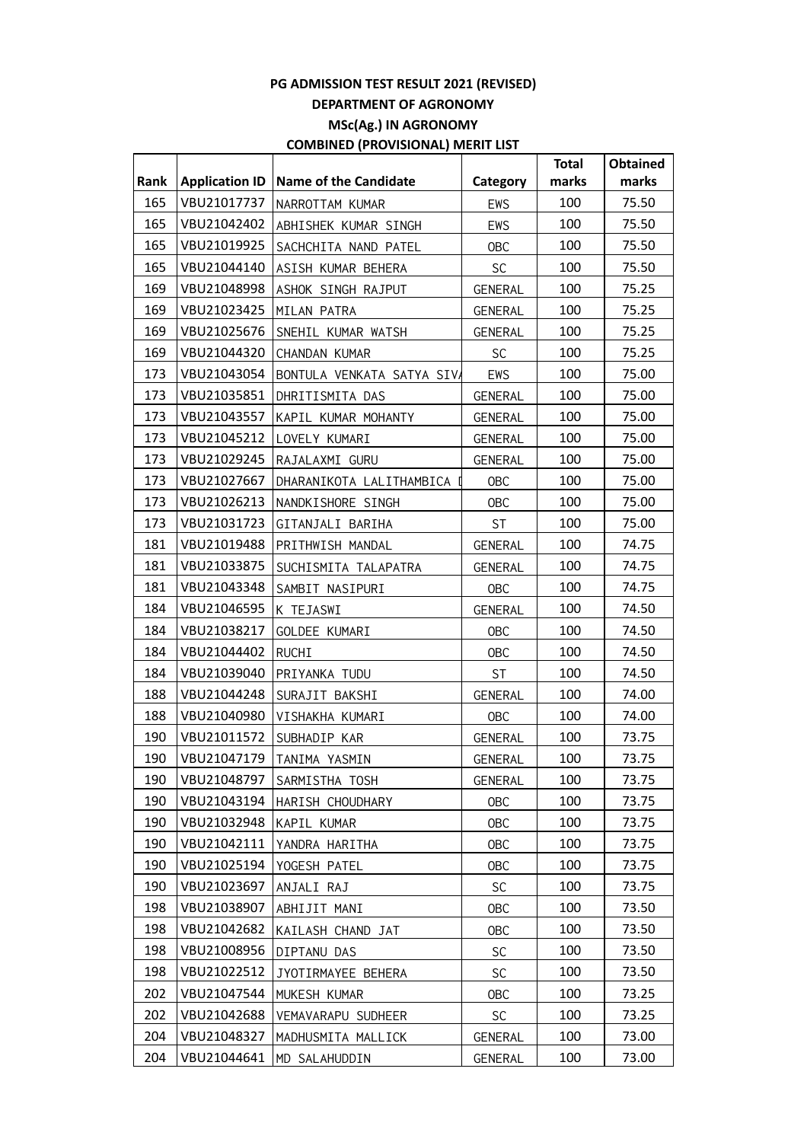|      |                       |                             |                | <b>Total</b> | <b>Obtained</b> |
|------|-----------------------|-----------------------------|----------------|--------------|-----------------|
| Rank | <b>Application ID</b> | Name of the Candidate       | Category       | marks        | marks           |
| 165  | VBU21017737           | NARROTTAM KUMAR             | EWS            | 100          | 75.50           |
| 165  | VBU21042402           | ABHISHEK KUMAR SINGH        | EWS            | 100          | 75.50           |
| 165  | VBU21019925           | SACHCHITA NAND PATEL        | <b>OBC</b>     | 100          | 75.50           |
| 165  | VBU21044140           | ASISH KUMAR BEHERA          | <b>SC</b>      | 100          | 75.50           |
| 169  | VBU21048998           | ASHOK SINGH RAJPUT          | GENERAL        | 100          | 75.25           |
| 169  | VBU21023425           | MILAN PATRA                 | GENERAL        | 100          | 75.25           |
| 169  | VBU21025676           | SNEHIL KUMAR WATSH          | GENERAL        | 100          | 75.25           |
| 169  | VBU21044320           | CHANDAN KUMAR               | <b>SC</b>      | 100          | 75.25           |
| 173  | VBU21043054           | BONTULA VENKATA SATYA SIVA  | EWS            | 100          | 75.00           |
| 173  | VBU21035851           | DHRITISMITA DAS             | GENERAL        | 100          | 75.00           |
| 173  | VBU21043557           | KAPIL KUMAR MOHANTY         | <b>GENERAL</b> | 100          | 75.00           |
| 173  | VBU21045212           | LOVELY KUMARI               | GENERAL        | 100          | 75.00           |
| 173  | VBU21029245           | RAJALAXMI GURU              | GENERAL        | 100          | 75.00           |
| 173  | VBU21027667           | DHARANIKOTA LALITHAMBICA I  | OBC            | 100          | 75.00           |
| 173  | VBU21026213           | NANDKISHORE SINGH           | <b>OBC</b>     | 100          | 75.00           |
| 173  | VBU21031723           | GITANJALI BARIHA            | <b>ST</b>      | 100          | 75.00           |
| 181  | VBU21019488           | PRITHWISH MANDAL            | GENERAL        | 100          | 74.75           |
| 181  | VBU21033875           | SUCHISMITA TALAPATRA        | <b>GENERAL</b> | 100          | 74.75           |
| 181  | VBU21043348           | SAMBIT NASIPURI             | <b>OBC</b>     | 100          | 74.75           |
| 184  | VBU21046595           | K TEJASWI                   | <b>GENERAL</b> | 100          | 74.50           |
| 184  | VBU21038217           | GOLDEE KUMARI               | <b>OBC</b>     | 100          | 74.50           |
| 184  | VBU21044402           | RUCHI                       | <b>OBC</b>     | 100          | 74.50           |
| 184  | VBU21039040           | PRIYANKA TUDU               | <b>ST</b>      | 100          | 74.50           |
| 188  | VBU21044248           | SURAJIT BAKSHI              | <b>GENERAL</b> | 100          | 74.00           |
| 188  | VBU21040980           | VISHAKHA KUMARI             | <b>OBC</b>     | 100          | 74.00           |
| 190  | VBU21011572           | SUBHADIP KAR                | <b>GENERAL</b> | 100          | 73.75           |
| 190  |                       | VBU21047179   TANIMA YASMIN | GENERAL        | 100          | 73.75           |
| 190  | VBU21048797           | SARMISTHA TOSH              | GENERAL        | 100          | 73.75           |
| 190  | VBU21043194           | HARISH CHOUDHARY            | <b>OBC</b>     | 100          | 73.75           |
| 190  | VBU21032948           | KAPIL KUMAR                 | <b>OBC</b>     | 100          | 73.75           |
| 190  | VBU21042111           | YANDRA HARITHA              | <b>OBC</b>     | 100          | 73.75           |
| 190  | VBU21025194           | YOGESH PATEL                | <b>OBC</b>     | 100          | 73.75           |
| 190  | VBU21023697           | ANJALI RAJ                  | <b>SC</b>      | 100          | 73.75           |
| 198  | VBU21038907           | ABHIJIT MANI                | <b>OBC</b>     | 100          | 73.50           |
| 198  | VBU21042682           | KAILASH CHAND JAT           | <b>OBC</b>     | 100          | 73.50           |
| 198  | VBU21008956           | DIPTANU DAS                 | <b>SC</b>      | 100          | 73.50           |
| 198  | VBU21022512           | JYOTIRMAYEE BEHERA          | <b>SC</b>      | 100          | 73.50           |
| 202  | VBU21047544           | MUKESH KUMAR                | <b>OBC</b>     | 100          | 73.25           |
| 202  | VBU21042688           | VEMAVARAPU SUDHEER          | <b>SC</b>      | 100          | 73.25           |
| 204  | VBU21048327           | MADHUSMITA MALLICK          | GENERAL        | 100          | 73.00           |
| 204  | VBU21044641           | MD SALAHUDDIN               | <b>GENERAL</b> | 100          | 73.00           |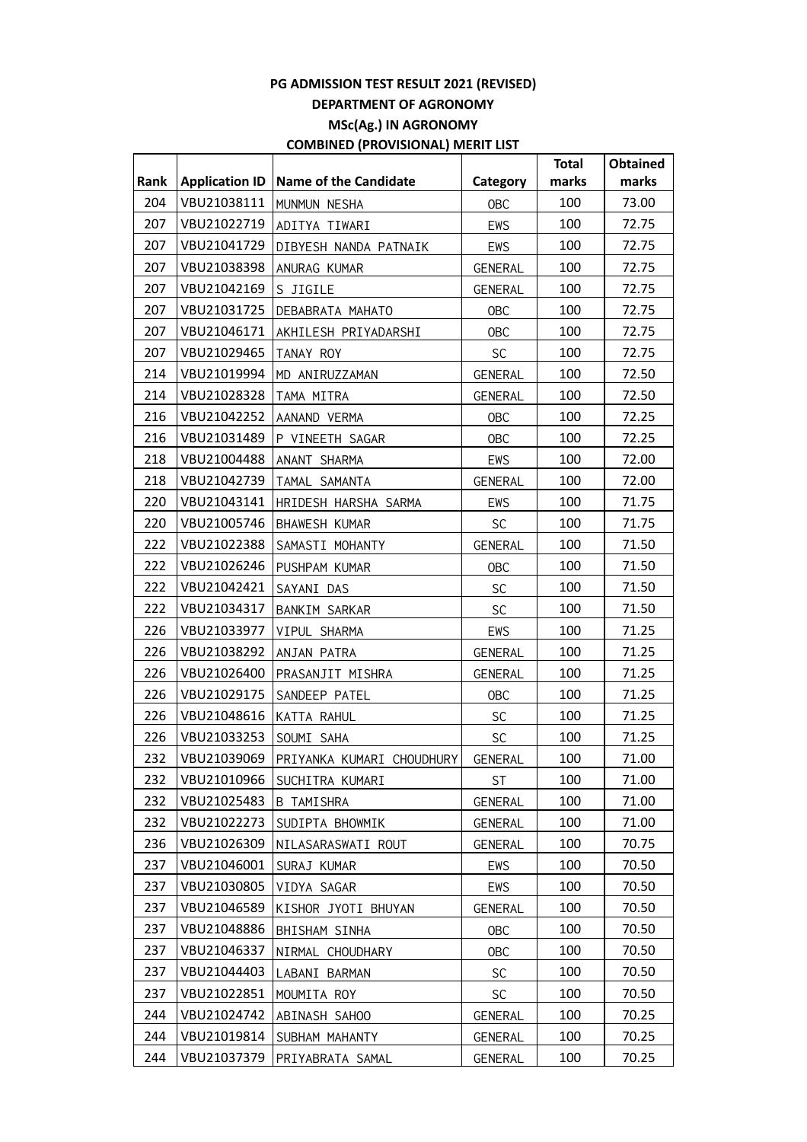|      |                       |                                         |                | <b>Total</b> | <b>Obtained</b> |
|------|-----------------------|-----------------------------------------|----------------|--------------|-----------------|
| Rank | <b>Application ID</b> | Name of the Candidate                   | Category       | marks        | marks           |
| 204  | VBU21038111           | MUNMUN NESHA                            | <b>OBC</b>     | 100          | 73.00           |
| 207  | VBU21022719           | ADITYA TIWARI                           | EWS            | 100          | 72.75           |
| 207  | VBU21041729           | DIBYESH NANDA PATNAIK                   | EWS            | 100          | 72.75           |
| 207  | VBU21038398           | ANURAG KUMAR                            | GENERAL        | 100          | 72.75           |
| 207  | VBU21042169           | S JIGILE                                | GENERAL        | 100          | 72.75           |
| 207  | VBU21031725           | DEBABRATA MAHATO                        | OBC            | 100          | 72.75           |
| 207  | VBU21046171           | AKHILESH PRIYADARSHI                    | <b>OBC</b>     | 100          | 72.75           |
| 207  | VBU21029465           | TANAY ROY                               | <b>SC</b>      | 100          | 72.75           |
| 214  | VBU21019994           | MD ANIRUZZAMAN                          | GENERAL        | 100          | 72.50           |
| 214  | VBU21028328           | TAMA MITRA                              | GENERAL        | 100          | 72.50           |
| 216  | VBU21042252           | AANAND VERMA                            | <b>OBC</b>     | 100          | 72.25           |
| 216  | VBU21031489           | P VINEETH SAGAR                         | <b>OBC</b>     | 100          | 72.25           |
| 218  | VBU21004488           | ANANT SHARMA                            | EWS            | 100          | 72.00           |
| 218  | VBU21042739           | TAMAL SAMANTA                           | GENERAL        | 100          | 72.00           |
| 220  | VBU21043141           | HRIDESH HARSHA SARMA                    | EWS            | 100          | 71.75           |
| 220  | VBU21005746           | BHAWESH KUMAR                           | <b>SC</b>      | 100          | 71.75           |
| 222  | VBU21022388           | SAMASTI MOHANTY                         | <b>GENERAL</b> | 100          | 71.50           |
| 222  | VBU21026246           | PUSHPAM KUMAR                           | <b>OBC</b>     | 100          | 71.50           |
| 222  | VBU21042421           | SAYANI DAS                              | SC             | 100          | 71.50           |
| 222  | VBU21034317           | BANKIM SARKAR                           | <b>SC</b>      | 100          | 71.50           |
| 226  | VBU21033977           | VIPUL SHARMA                            | EWS            | 100          | 71.25           |
| 226  | VBU21038292           | ANJAN PATRA                             | GENERAL        | 100          | 71.25           |
| 226  | VBU21026400           | PRASANJIT MISHRA                        | <b>GENERAL</b> | 100          | 71.25           |
| 226  | VBU21029175           | SANDEEP PATEL                           | <b>OBC</b>     | 100          | 71.25           |
| 226  | VBU21048616           | KATTA RAHUL                             | <b>SC</b>      | 100          | 71.25           |
| 226  | VBU21033253           | SOUMI SAHA                              | SC             | 100          | 71.25           |
| 232  |                       | VBU21039069   PRIYANKA KUMARI CHOUDHURY | GENERAL        | 100          | 71.00           |
| 232  | VBU21010966           | SUCHITRA KUMARI                         | ST             | 100          | 71.00           |
| 232  | VBU21025483           | B TAMISHRA                              | GENERAL        | 100          | 71.00           |
| 232  | VBU21022273           | SUDIPTA BHOWMIK                         | <b>GENERAL</b> | 100          | 71.00           |
| 236  | VBU21026309           | NILASARASWATI ROUT                      | <b>GENERAL</b> | 100          | 70.75           |
| 237  | VBU21046001           | SURAJ KUMAR                             | EWS            | 100          | 70.50           |
| 237  | VBU21030805           | VIDYA SAGAR                             | EWS            | 100          | 70.50           |
| 237  | VBU21046589           | KISHOR JYOTI BHUYAN                     | <b>GENERAL</b> | 100          | 70.50           |
| 237  | VBU21048886           | BHISHAM SINHA                           | <b>OBC</b>     | 100          | 70.50           |
| 237  | VBU21046337           | NIRMAL CHOUDHARY                        | <b>OBC</b>     | 100          | 70.50           |
| 237  | VBU21044403           | LABANI BARMAN                           | <b>SC</b>      | 100          | 70.50           |
| 237  | VBU21022851           | MOUMITA ROY                             | <b>SC</b>      | 100          | 70.50           |
| 244  | VBU21024742           | ABINASH SAHOO                           | <b>GENERAL</b> | 100          | 70.25           |
| 244  | VBU21019814           | SUBHAM MAHANTY                          | GENERAL        | 100          | 70.25           |
| 244  | VBU21037379           | PRIYABRATA SAMAL                        | <b>GENERAL</b> | 100          | 70.25           |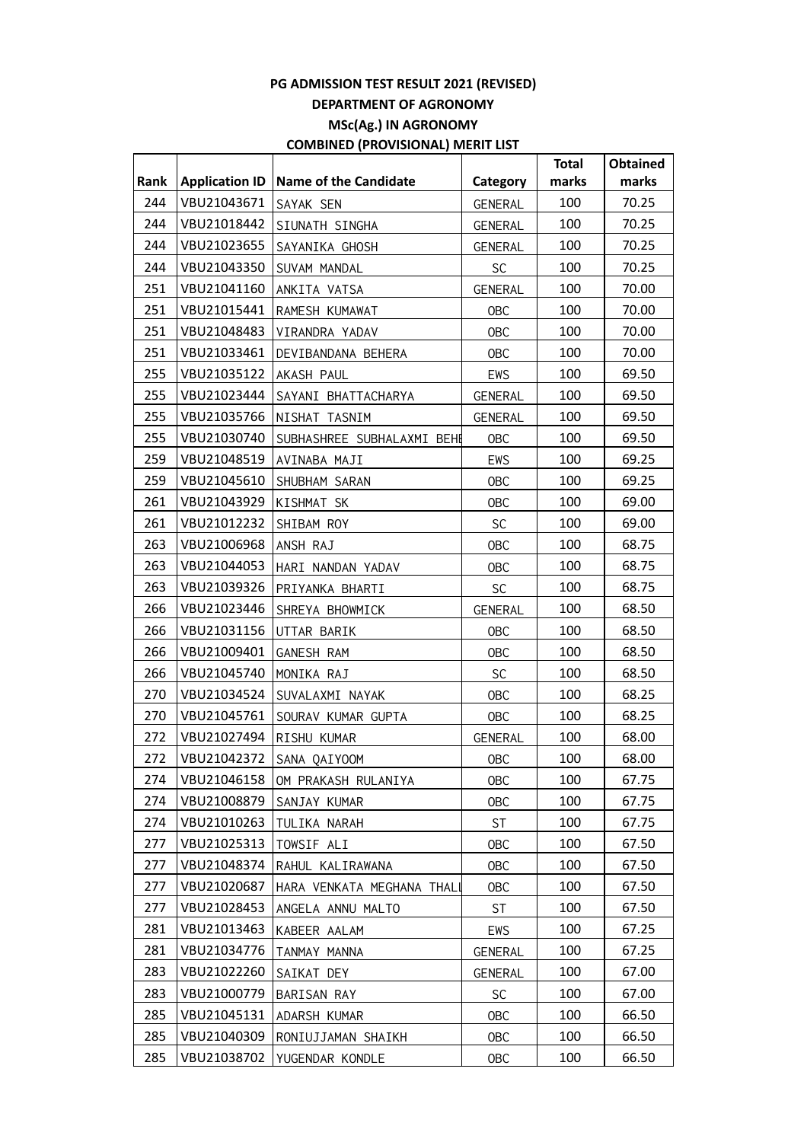|      |                       |                            |                | <b>Total</b> | Obtained |
|------|-----------------------|----------------------------|----------------|--------------|----------|
| Rank | <b>Application ID</b> | Name of the Candidate      | Category       | marks        | marks    |
| 244  | VBU21043671           | SAYAK SEN                  | GENERAL        | 100          | 70.25    |
| 244  | VBU21018442           | SIUNATH SINGHA             | GENERAL        | 100          | 70.25    |
| 244  | VBU21023655           | SAYANIKA GHOSH             | <b>GENERAL</b> | 100          | 70.25    |
| 244  | VBU21043350           | SUVAM MANDAL               | SC             | 100          | 70.25    |
| 251  | VBU21041160           | ANKITA VATSA               | <b>GENERAL</b> | 100          | 70.00    |
| 251  | VBU21015441           | RAMESH KUMAWAT             | OBC            | 100          | 70.00    |
| 251  | VBU21048483           | VIRANDRA YADAV             | <b>OBC</b>     | 100          | 70.00    |
| 251  | VBU21033461           | DEVIBANDANA BEHERA         | <b>OBC</b>     | 100          | 70.00    |
| 255  | VBU21035122           | AKASH PAUL                 | EWS            | 100          | 69.50    |
| 255  | VBU21023444           | SAYANI BHATTACHARYA        | <b>GENERAL</b> | 100          | 69.50    |
| 255  | VBU21035766           | NISHAT TASNIM              | <b>GENERAL</b> | 100          | 69.50    |
| 255  | VBU21030740           | SUBHASHREE SUBHALAXMI BEHE | <b>OBC</b>     | 100          | 69.50    |
| 259  | VBU21048519           | AVINABA MAJI               | EWS            | 100          | 69.25    |
| 259  | VBU21045610           | SHUBHAM SARAN              | <b>OBC</b>     | 100          | 69.25    |
| 261  | VBU21043929           | KISHMAT SK                 | <b>OBC</b>     | 100          | 69.00    |
| 261  | VBU21012232           | SHIBAM ROY                 | <b>SC</b>      | 100          | 69.00    |
| 263  | VBU21006968           | ANSH RAJ                   | <b>OBC</b>     | 100          | 68.75    |
| 263  | VBU21044053           | HARI NANDAN YADAV          | <b>OBC</b>     | 100          | 68.75    |
| 263  | VBU21039326           | PRIYANKA BHARTI            | <b>SC</b>      | 100          | 68.75    |
| 266  | VBU21023446           | SHREYA BHOWMICK            | <b>GENERAL</b> | 100          | 68.50    |
| 266  | VBU21031156           | UTTAR BARIK                | <b>OBC</b>     | 100          | 68.50    |
| 266  | VBU21009401           | GANESH RAM                 | <b>OBC</b>     | 100          | 68.50    |
| 266  | VBU21045740           | MONIKA RAJ                 | <b>SC</b>      | 100          | 68.50    |
| 270  | VBU21034524           | SUVALAXMI NAYAK            | <b>OBC</b>     | 100          | 68.25    |
| 270  | VBU21045761           | SOURAV KUMAR GUPTA         | <b>OBC</b>     | 100          | 68.25    |
| 272  | VBU21027494           | RISHU KUMAR                | <b>GENERAL</b> | 100          | 68.00    |
| 272  |                       | VBU21042372 SANA QAIYOOM   | <b>OBC</b>     | 100          | 68.00    |
| 274  | VBU21046158           | OM PRAKASH RULANIYA        | <b>OBC</b>     | 100          | 67.75    |
| 274  | VBU21008879           | SANJAY KUMAR               | <b>OBC</b>     | 100          | 67.75    |
| 274  | VBU21010263           | TULIKA NARAH               | <b>ST</b>      | 100          | 67.75    |
| 277  | VBU21025313           | TOWSIF ALI                 | <b>OBC</b>     | 100          | 67.50    |
| 277  | VBU21048374           | RAHUL KALIRAWANA           | <b>OBC</b>     | 100          | 67.50    |
| 277  | VBU21020687           | HARA VENKATA MEGHANA THALL | <b>OBC</b>     | 100          | 67.50    |
| 277  | VBU21028453           | ANGELA ANNU MALTO          | <b>ST</b>      | 100          | 67.50    |
| 281  | VBU21013463           | KABEER AALAM               | EWS            | 100          | 67.25    |
| 281  | VBU21034776           | TANMAY MANNA               | <b>GENERAL</b> | 100          | 67.25    |
| 283  | VBU21022260           | SAIKAT DEY                 | GENERAL        | 100          | 67.00    |
| 283  | VBU21000779           | BARISAN RAY                | <b>SC</b>      | 100          | 67.00    |
| 285  | VBU21045131           | ADARSH KUMAR               | <b>OBC</b>     | 100          | 66.50    |
| 285  | VBU21040309           | RONIUJJAMAN SHAIKH         | <b>OBC</b>     | 100          | 66.50    |
| 285  | VBU21038702           | YUGENDAR KONDLE            | <b>OBC</b>     | 100          | 66.50    |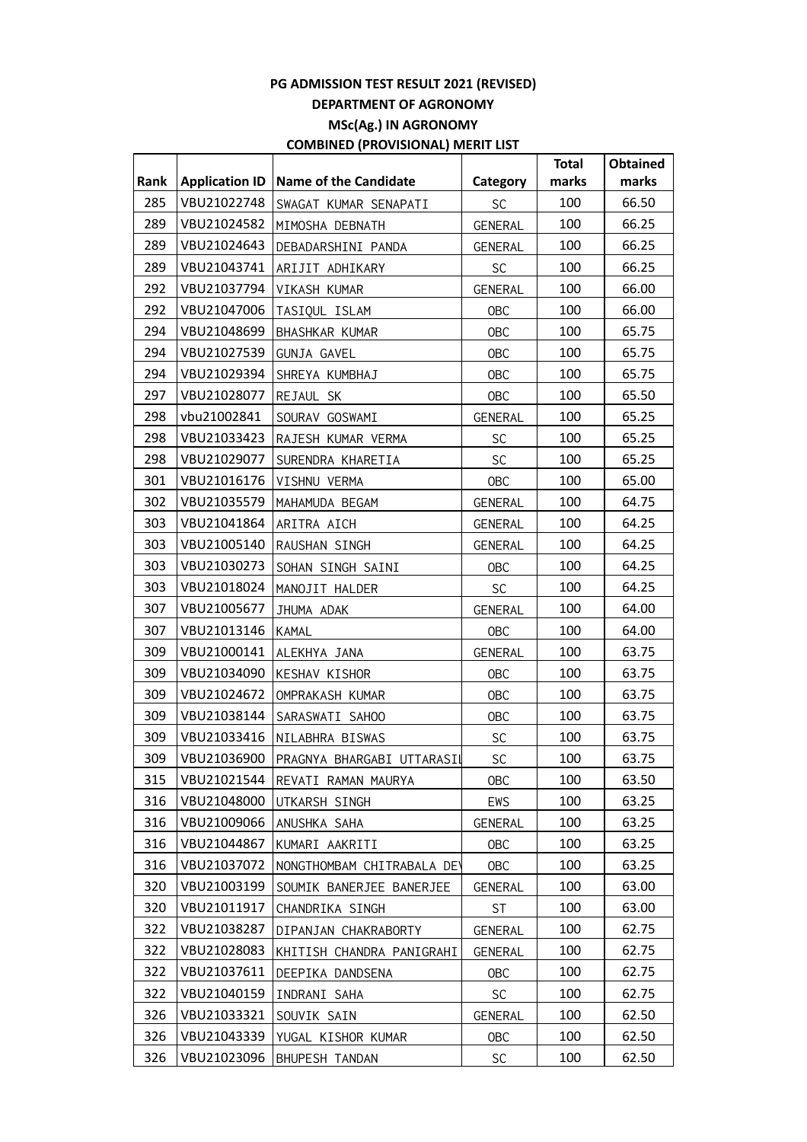|      |                       |                                         |                | <b>Total</b> | <b>Obtained</b> |
|------|-----------------------|-----------------------------------------|----------------|--------------|-----------------|
| Rank | <b>Application ID</b> | <b>Name of the Candidate</b>            | Category       | marks        | marks           |
| 285  | VBU21022748           | SWAGAT KUMAR SENAPATI                   | <b>SC</b>      | 100          | 66.50           |
| 289  | VBU21024582           | MIMOSHA DEBNATH                         | <b>GENERAL</b> | 100          | 66.25           |
| 289  | VBU21024643           | DEBADARSHINI PANDA                      | GENERAL        | 100          | 66.25           |
| 289  | VBU21043741           | ARIJIT ADHIKARY                         | <b>SC</b>      | 100          | 66.25           |
| 292  | VBU21037794           | VIKASH KUMAR                            | GENERAL        | 100          | 66.00           |
| 292  | VBU21047006           | TASIQUL ISLAM                           | <b>OBC</b>     | 100          | 66.00           |
| 294  | VBU21048699           | BHASHKAR KUMAR                          | <b>OBC</b>     | 100          | 65.75           |
| 294  | VBU21027539           | GUNJA GAVEL                             | <b>OBC</b>     | 100          | 65.75           |
| 294  | VBU21029394           | SHREYA KUMBHAJ                          | <b>OBC</b>     | 100          | 65.75           |
| 297  | VBU21028077           | REJAUL SK                               | <b>OBC</b>     | 100          | 65.50           |
| 298  | vbu21002841           | SOURAV GOSWAMI                          | <b>GENERAL</b> | 100          | 65.25           |
| 298  | VBU21033423           | RAJESH KUMAR VERMA                      | <b>SC</b>      | 100          | 65.25           |
| 298  | VBU21029077           | SURENDRA KHARETIA                       | SC             | 100          | 65.25           |
| 301  | VBU21016176           | VISHNU VERMA                            | <b>OBC</b>     | 100          | 65.00           |
| 302  | VBU21035579           | MAHAMUDA BEGAM                          | GENERAL        | 100          | 64.75           |
| 303  | VBU21041864           | ARITRA AICH                             | GENERAL        | 100          | 64.25           |
| 303  | VBU21005140           | RAUSHAN SINGH                           | GENERAL        | 100          | 64.25           |
| 303  | VBU21030273           | SOHAN SINGH SAINI                       | <b>OBC</b>     | 100          | 64.25           |
| 303  | VBU21018024           | MANOJIT HALDER                          | <b>SC</b>      | 100          | 64.25           |
| 307  | VBU21005677           | JHUMA ADAK                              | GENERAL        | 100          | 64.00           |
| 307  | VBU21013146           | KAMAL                                   | <b>OBC</b>     | 100          | 64.00           |
| 309  | VBU21000141           | ALEKHYA JANA                            | <b>GENERAL</b> | 100          | 63.75           |
| 309  | VBU21034090           | KESHAV KISHOR                           | <b>OBC</b>     | 100          | 63.75           |
| 309  | VBU21024672           | OMPRAKASH KUMAR                         | <b>OBC</b>     | 100          | 63.75           |
| 309  | VBU21038144           | SARASWATI SAHOO                         | <b>OBC</b>     | 100          | 63.75           |
| 309  | VBU21033416           | NILABHRA BISWAS                         | <b>SC</b>      | 100          | 63.75           |
| 309  |                       | VBU21036900   PRAGNYA BHARGABI UTTARASI | $\mathsf{SC}$  | 100          | 63.75           |
| 315  | VBU21021544           | REVATI RAMAN MAURYA                     | <b>OBC</b>     | 100          | 63.50           |
| 316  | VBU21048000           | UTKARSH SINGH                           | EWS            | 100          | 63.25           |
| 316  | VBU21009066           | ANUSHKA SAHA                            | <b>GENERAL</b> | 100          | 63.25           |
| 316  | VBU21044867           | KUMARI AAKRITI                          | <b>OBC</b>     | 100          | 63.25           |
| 316  | VBU21037072           | NONGTHOMBAM CHITRABALA DEV              | 0BC            | 100          | 63.25           |
| 320  | VBU21003199           | SOUMIK BANERJEE BANERJEE                | <b>GENERAL</b> | 100          | 63.00           |
| 320  | VBU21011917           | CHANDRIKA SINGH                         | ST             | 100          | 63.00           |
| 322  | VBU21038287           | DIPANJAN CHAKRABORTY                    | <b>GENERAL</b> | 100          | 62.75           |
| 322  | VBU21028083           | KHITISH CHANDRA PANIGRAHI               | GENERAL        | 100          | 62.75           |
| 322  | VBU21037611           | DEEPIKA DANDSENA                        | <b>OBC</b>     | 100          | 62.75           |
| 322  | VBU21040159           | INDRANI SAHA                            | SC             | 100          | 62.75           |
| 326  | VBU21033321           | SOUVIK SAIN                             | GENERAL        | 100          | 62.50           |
| 326  | VBU21043339           | YUGAL KISHOR KUMAR                      | <b>OBC</b>     | 100          | 62.50           |
| 326  | VBU21023096           | BHUPESH TANDAN                          | <b>SC</b>      | 100          | 62.50           |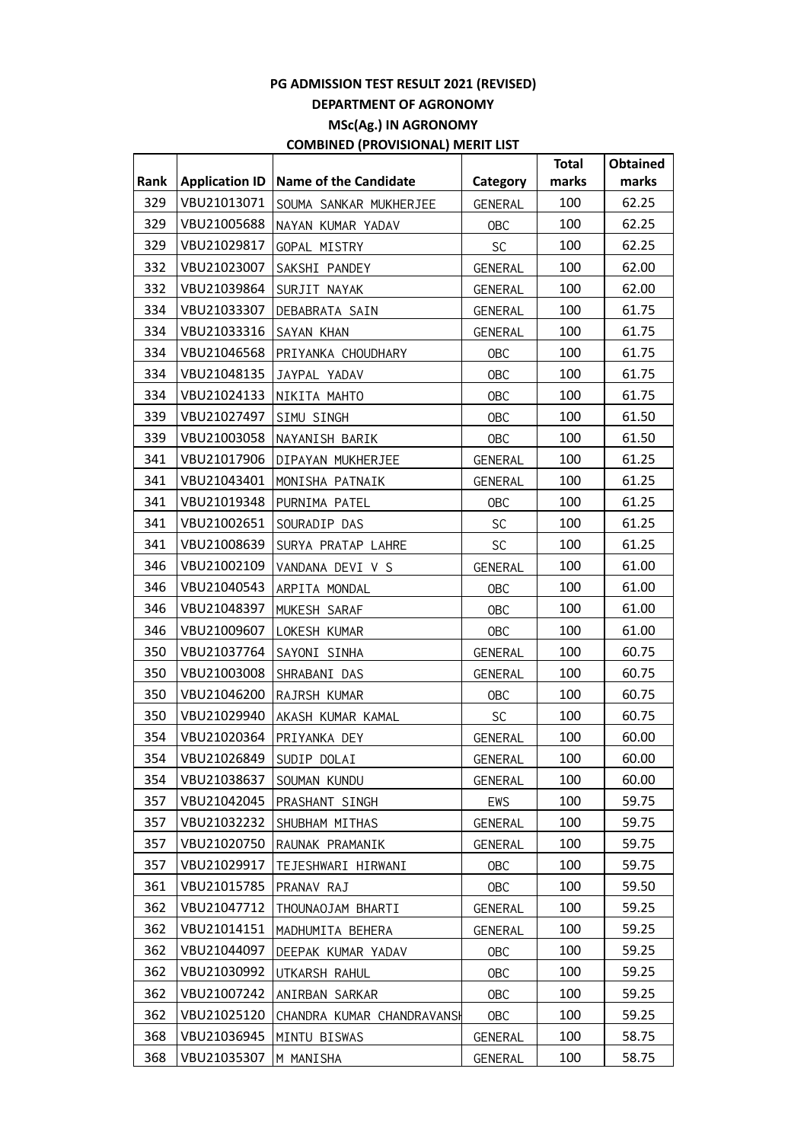|      |                       |                              |                | <b>Total</b> | <b>Obtained</b> |
|------|-----------------------|------------------------------|----------------|--------------|-----------------|
| Rank | <b>Application ID</b> | <b>Name of the Candidate</b> | Category       | marks        | marks           |
| 329  | VBU21013071           | SOUMA SANKAR MUKHERJEE       | GENERAL        | 100          | 62.25           |
| 329  | VBU21005688           | NAYAN KUMAR YADAV            | <b>OBC</b>     | 100          | 62.25           |
| 329  | VBU21029817           | GOPAL MISTRY                 | <b>SC</b>      | 100          | 62.25           |
| 332  | VBU21023007           | SAKSHI PANDEY                | <b>GENERAL</b> | 100          | 62.00           |
| 332  | VBU21039864           | SURJIT NAYAK                 | GENERAL        | 100          | 62.00           |
| 334  | VBU21033307           | DEBABRATA SAIN               | <b>GENERAL</b> | 100          | 61.75           |
| 334  | VBU21033316           | SAYAN KHAN                   | <b>GENERAL</b> | 100          | 61.75           |
| 334  | VBU21046568           | PRIYANKA CHOUDHARY           | OBC            | 100          | 61.75           |
| 334  | VBU21048135           | JAYPAL YADAV                 | OBC            | 100          | 61.75           |
| 334  | VBU21024133           | NIKITA MAHTO                 | OBC            | 100          | 61.75           |
| 339  | VBU21027497           | SIMU SINGH                   | OBC            | 100          | 61.50           |
| 339  | VBU21003058           | NAYANISH BARIK               | <b>OBC</b>     | 100          | 61.50           |
| 341  | VBU21017906           | DIPAYAN MUKHERJEE            | GENERAL        | 100          | 61.25           |
| 341  | VBU21043401           | MONISHA PATNAIK              | <b>GENERAL</b> | 100          | 61.25           |
| 341  | VBU21019348           | PURNIMA PATEL                | OBC            | 100          | 61.25           |
| 341  | VBU21002651           | SOURADIP DAS                 | SC             | 100          | 61.25           |
| 341  | VBU21008639           | SURYA PRATAP LAHRE           | <b>SC</b>      | 100          | 61.25           |
| 346  | VBU21002109           | VANDANA DEVI V S             | <b>GENERAL</b> | 100          | 61.00           |
| 346  | VBU21040543           | ARPITA MONDAL                | <b>OBC</b>     | 100          | 61.00           |
| 346  | VBU21048397           | MUKESH SARAF                 | OBC            | 100          | 61.00           |
| 346  | VBU21009607           | LOKESH KUMAR                 | OBC            | 100          | 61.00           |
| 350  | VBU21037764           | SAYONI SINHA                 | <b>GENERAL</b> | 100          | 60.75           |
| 350  | VBU21003008           | SHRABANI DAS                 | <b>GENERAL</b> | 100          | 60.75           |
| 350  | VBU21046200           | RAJRSH KUMAR                 | OBC            | 100          | 60.75           |
| 350  | VBU21029940           | AKASH KUMAR KAMAL            | <b>SC</b>      | 100          | 60.75           |
| 354  | VBU21020364           | PRIYANKA DEY                 | GENERAL        | 100          | 60.00           |
| 354  | VBU21026849           | SUDIP DOLAI                  | GENERAL        | 100          | 60.00           |
| 354  | VBU21038637           | SOUMAN KUNDU                 | <b>GENERAL</b> | 100          | 60.00           |
| 357  | VBU21042045           | PRASHANT SINGH               | EWS            | 100          | 59.75           |
| 357  | VBU21032232           | SHUBHAM MITHAS               | GENERAL        | 100          | 59.75           |
| 357  | VBU21020750           | RAUNAK PRAMANIK              | GENERAL        | 100          | 59.75           |
| 357  | VBU21029917           | TEJESHWARI HIRWANI           | <b>OBC</b>     | 100          | 59.75           |
| 361  | VBU21015785           | PRANAV RAJ                   | <b>OBC</b>     | 100          | 59.50           |
| 362  | VBU21047712           | THOUNAOJAM BHARTI            | <b>GENERAL</b> | 100          | 59.25           |
| 362  | VBU21014151           | MADHUMITA BEHERA             | <b>GENERAL</b> | 100          | 59.25           |
| 362  | VBU21044097           | DEEPAK KUMAR YADAV           | <b>OBC</b>     | 100          | 59.25           |
| 362  | VBU21030992           | UTKARSH RAHUL                | <b>OBC</b>     | 100          | 59.25           |
| 362  | VBU21007242           | ANIRBAN SARKAR               | <b>OBC</b>     | 100          | 59.25           |
| 362  | VBU21025120           | CHANDRA KUMAR CHANDRAVANSH   | <b>OBC</b>     | 100          | 59.25           |
| 368  | VBU21036945           | MINTU BISWAS                 | GENERAL        | 100          | 58.75           |
| 368  | VBU21035307           | M MANISHA                    | GENERAL        | 100          | 58.75           |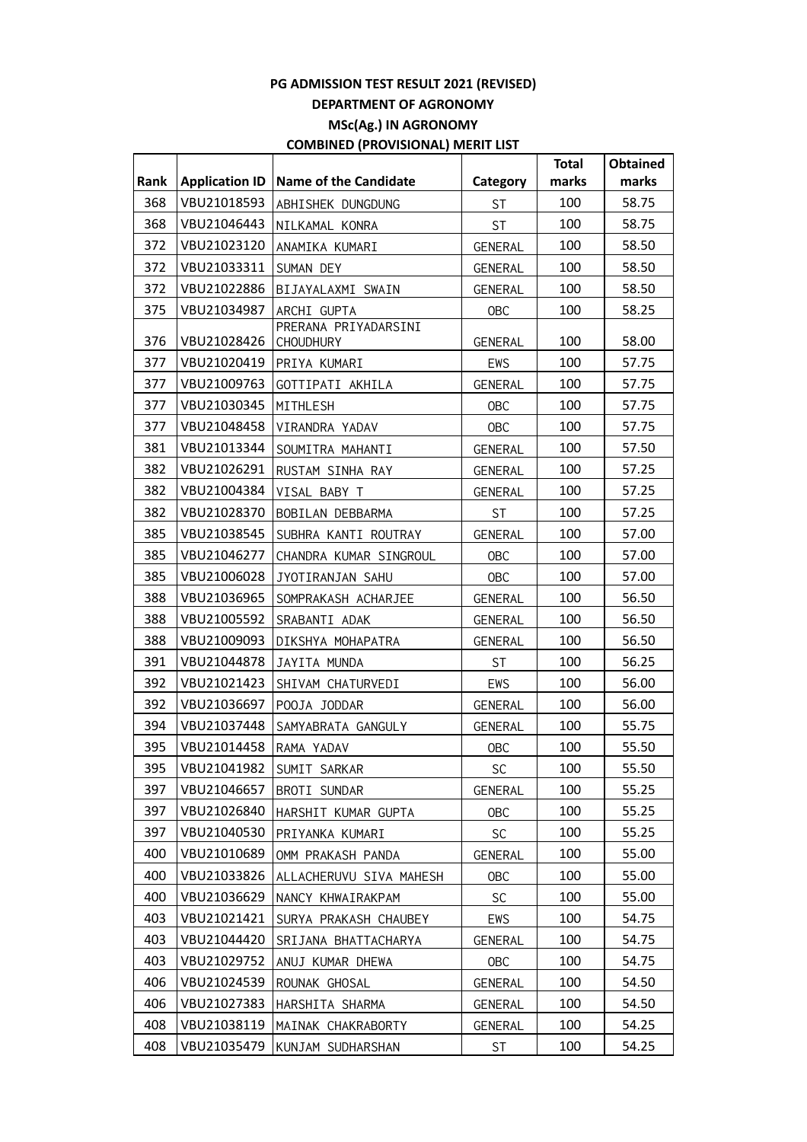|      |                       |                                          |                | <b>Total</b> | <b>Obtained</b> |
|------|-----------------------|------------------------------------------|----------------|--------------|-----------------|
| Rank | <b>Application ID</b> | <b>Name of the Candidate</b>             | Category       | marks        | marks           |
| 368  | VBU21018593           | ABHISHEK DUNGDUNG                        | <b>ST</b>      | 100          | 58.75           |
| 368  | VBU21046443           | NILKAMAL KONRA                           | <b>ST</b>      | 100          | 58.75           |
| 372  | VBU21023120           | ANAMIKA KUMARI                           | <b>GENERAL</b> | 100          | 58.50           |
| 372  | VBU21033311           | SUMAN DEY                                | GENERAL        | 100          | 58.50           |
| 372  | VBU21022886           | BIJAYALAXMI SWAIN                        | GENERAL        | 100          | 58.50           |
| 375  | VBU21034987           | ARCHI GUPTA                              | <b>OBC</b>     | 100          | 58.25           |
| 376  | VBU21028426           | PRERANA PRIYADARSINI<br><b>CHOUDHURY</b> | <b>GENERAL</b> | 100          | 58.00           |
| 377  | VBU21020419           | PRIYA KUMARI                             | EWS            | 100          | 57.75           |
| 377  | VBU21009763           | GOTTIPATI AKHILA                         | <b>GENERAL</b> | 100          | 57.75           |
| 377  | VBU21030345           | MITHLESH                                 | <b>OBC</b>     | 100          | 57.75           |
| 377  | VBU21048458           | VIRANDRA YADAV                           | <b>OBC</b>     | 100          | 57.75           |
| 381  | VBU21013344           | SOUMITRA MAHANTI                         | <b>GENERAL</b> | 100          | 57.50           |
| 382  | VBU21026291           | RUSTAM SINHA RAY                         | GENERAL        | 100          | 57.25           |
| 382  | VBU21004384           | VISAL BABY T                             | <b>GENERAL</b> | 100          | 57.25           |
| 382  | VBU21028370           | BOBILAN DEBBARMA                         | <b>ST</b>      | 100          | 57.25           |
| 385  | VBU21038545           | SUBHRA KANTI ROUTRAY                     | <b>GENERAL</b> | 100          | 57.00           |
| 385  | VBU21046277           | CHANDRA KUMAR SINGROUL                   | <b>OBC</b>     | 100          | 57.00           |
| 385  | VBU21006028           | JYOTIRANJAN SAHU                         | <b>OBC</b>     | 100          | 57.00           |
| 388  | VBU21036965           | SOMPRAKASH ACHARJEE                      | GENERAL        | 100          | 56.50           |
| 388  | VBU21005592           | SRABANTI ADAK                            | <b>GENERAL</b> | 100          | 56.50           |
| 388  | VBU21009093           | DIKSHYA MOHAPATRA                        | <b>GENERAL</b> | 100          | 56.50           |
| 391  | VBU21044878           | JAYITA MUNDA                             | <b>ST</b>      | 100          | 56.25           |
| 392  | VBU21021423           | SHIVAM CHATURVEDI                        | EWS            | 100          | 56.00           |
| 392  | VBU21036697           | POOJA JODDAR                             | GENERAL        | 100          | 56.00           |
| 394  | VBU21037448           | SAMYABRATA GANGULY                       | <b>GENERAL</b> | 100          | 55.75           |
| 395  | VBU21014458           | RAMA YADAV                               | <b>OBC</b>     | 100          | 55.50           |
| 395  | VBU21041982           | SUMIT SARKAR                             | <b>SC</b>      | 100          | 55.50           |
| 397  | VBU21046657           | BROTI SUNDAR                             | <b>GENERAL</b> | 100          | 55.25           |
| 397  | VBU21026840           | HARSHIT KUMAR GUPTA                      | <b>OBC</b>     | 100          | 55.25           |
| 397  | VBU21040530           | PRIYANKA KUMARI                          | <b>SC</b>      | 100          | 55.25           |
| 400  | VBU21010689           | OMM PRAKASH PANDA                        | <b>GENERAL</b> | 100          | 55.00           |
| 400  | VBU21033826           | ALLACHERUVU SIVA MAHESH                  | <b>OBC</b>     | 100          | 55.00           |
| 400  | VBU21036629           | NANCY KHWAIRAKPAM                        | <b>SC</b>      | 100          | 55.00           |
| 403  | VBU21021421           | SURYA PRAKASH CHAUBEY                    | EWS            | 100          | 54.75           |
| 403  | VBU21044420           | SRIJANA BHATTACHARYA                     | GENERAL        | 100          | 54.75           |
| 403  | VBU21029752           | ANUJ KUMAR DHEWA                         | <b>OBC</b>     | 100          | 54.75           |
| 406  | VBU21024539           | ROUNAK GHOSAL                            | <b>GENERAL</b> | 100          | 54.50           |
| 406  | VBU21027383           | HARSHITA SHARMA                          | GENERAL        | 100          | 54.50           |
| 408  | VBU21038119           | MAINAK CHAKRABORTY                       | <b>GENERAL</b> | 100          | 54.25           |
| 408  | VBU21035479           | KUNJAM SUDHARSHAN                        | ST             | 100          | 54.25           |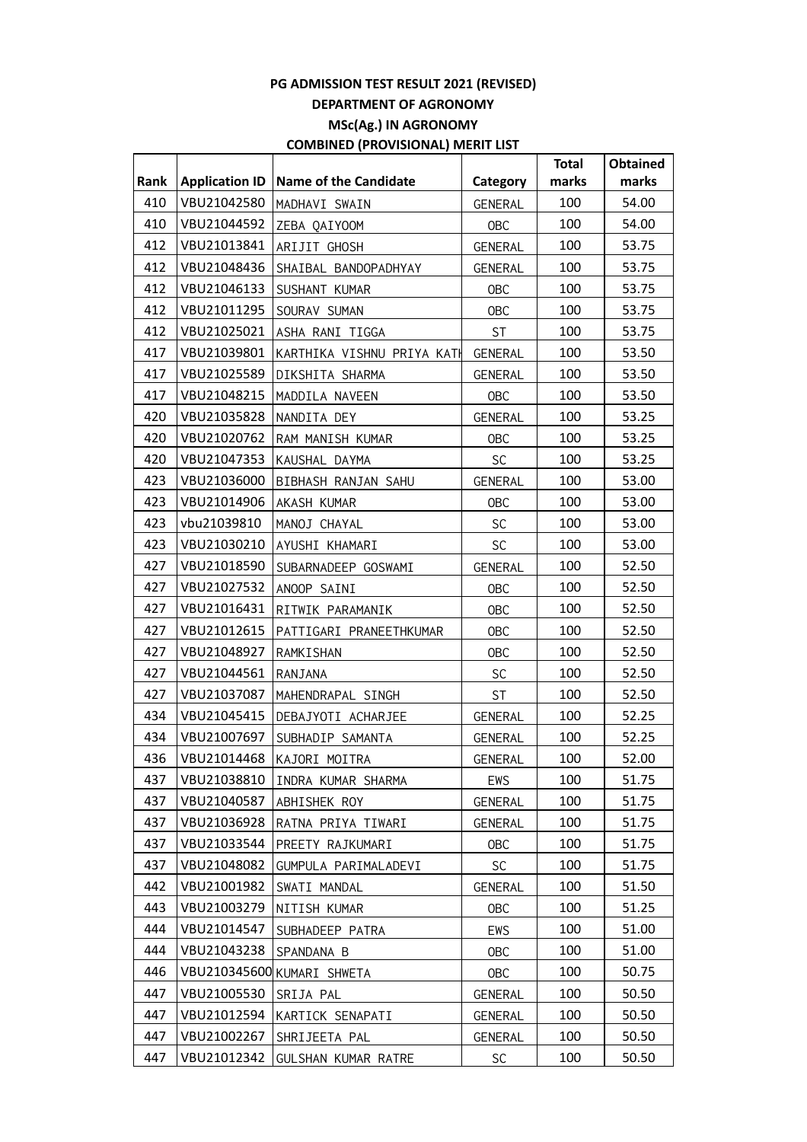|      |                       |                              |                | <b>Total</b> | Obtained |
|------|-----------------------|------------------------------|----------------|--------------|----------|
| Rank | <b>Application ID</b> | <b>Name of the Candidate</b> | Category       | marks        | marks    |
| 410  | VBU21042580           | MADHAVI SWAIN                | <b>GENERAL</b> | 100          | 54.00    |
| 410  | VBU21044592           | ZEBA QAIYOOM                 | <b>OBC</b>     | 100          | 54.00    |
| 412  | VBU21013841           | ARIJIT GHOSH                 | <b>GENERAL</b> | 100          | 53.75    |
| 412  | VBU21048436           | SHAIBAL BANDOPADHYAY         | GENERAL        | 100          | 53.75    |
| 412  | VBU21046133           | SUSHANT KUMAR                | OBC            | 100          | 53.75    |
| 412  | VBU21011295           | SOURAV SUMAN                 | OBC            | 100          | 53.75    |
| 412  | VBU21025021           | ASHA RANI TIGGA              | ST             | 100          | 53.75    |
| 417  | VBU21039801           | KARTHIKA VISHNU PRIYA KATH   | GENERAL        | 100          | 53.50    |
| 417  | VBU21025589           | DIKSHITA SHARMA              | GENERAL        | 100          | 53.50    |
| 417  | VBU21048215           | MADDILA NAVEEN               | OBC            | 100          | 53.50    |
| 420  | VBU21035828           | NANDITA DEY                  | <b>GENERAL</b> | 100          | 53.25    |
| 420  | VBU21020762           | RAM MANISH KUMAR             | <b>OBC</b>     | 100          | 53.25    |
| 420  | VBU21047353           | KAUSHAL DAYMA                | <b>SC</b>      | 100          | 53.25    |
| 423  | VBU21036000           | BIBHASH RANJAN SAHU          | GENERAL        | 100          | 53.00    |
| 423  | VBU21014906           | AKASH KUMAR                  | <b>OBC</b>     | 100          | 53.00    |
| 423  | vbu21039810           | MANOJ CHAYAL                 | <b>SC</b>      | 100          | 53.00    |
| 423  | VBU21030210           | AYUSHI KHAMARI               | <b>SC</b>      | 100          | 53.00    |
| 427  | VBU21018590           | SUBARNADEEP GOSWAMI          | <b>GENERAL</b> | 100          | 52.50    |
| 427  | VBU21027532           | ANOOP SAINI                  | OBC            | 100          | 52.50    |
| 427  | VBU21016431           | RITWIK PARAMANIK             | <b>OBC</b>     | 100          | 52.50    |
| 427  | VBU21012615           | PATTIGARI PRANEETHKUMAR      | OBC            | 100          | 52.50    |
| 427  | VBU21048927           | RAMKISHAN                    | <b>OBC</b>     | 100          | 52.50    |
| 427  | VBU21044561           | RANJANA                      | <b>SC</b>      | 100          | 52.50    |
| 427  | VBU21037087           | MAHENDRAPAL SINGH            | ST             | 100          | 52.50    |
| 434  | VBU21045415           | DEBAJYOTI ACHARJEE           | GENERAL        | 100          | 52.25    |
| 434  | VBU21007697           | SUBHADIP SAMANTA             | GENERAL        | 100          | 52.25    |
| 436  |                       | VBU21014468 KAJORI MOITRA    | GENERAL        | 100          | 52.00    |
| 437  | VBU21038810           | INDRA KUMAR SHARMA           | EWS            | 100          | 51.75    |
| 437  | VBU21040587           | ABHISHEK ROY                 | GENERAL        | 100          | 51.75    |
| 437  | VBU21036928           | RATNA PRIYA TIWARI           | GENERAL        | 100          | 51.75    |
| 437  | VBU21033544           | PREETY RAJKUMARI             | <b>OBC</b>     | 100          | 51.75    |
| 437  | VBU21048082           | GUMPULA PARIMALADEVI         | <b>SC</b>      | 100          | 51.75    |
| 442  | VBU21001982           | SWATI MANDAL                 | GENERAL        | 100          | 51.50    |
| 443  | VBU21003279           | NITISH KUMAR                 | <b>OBC</b>     | 100          | 51.25    |
| 444  | VBU21014547           | SUBHADEEP PATRA              | EWS            | 100          | 51.00    |
| 444  | VBU21043238           | SPANDANA B                   | <b>OBC</b>     | 100          | 51.00    |
| 446  |                       | VBU210345600 KUMARI SHWETA   | <b>OBC</b>     | 100          | 50.75    |
| 447  | VBU21005530           | SRIJA PAL                    | GENERAL        | 100          | 50.50    |
| 447  | VBU21012594           | KARTICK SENAPATI             | GENERAL        | 100          | 50.50    |
| 447  | VBU21002267           | SHRIJEETA PAL                | GENERAL        | 100          | 50.50    |
| 447  | VBU21012342           | GULSHAN KUMAR RATRE          | <b>SC</b>      | 100          | 50.50    |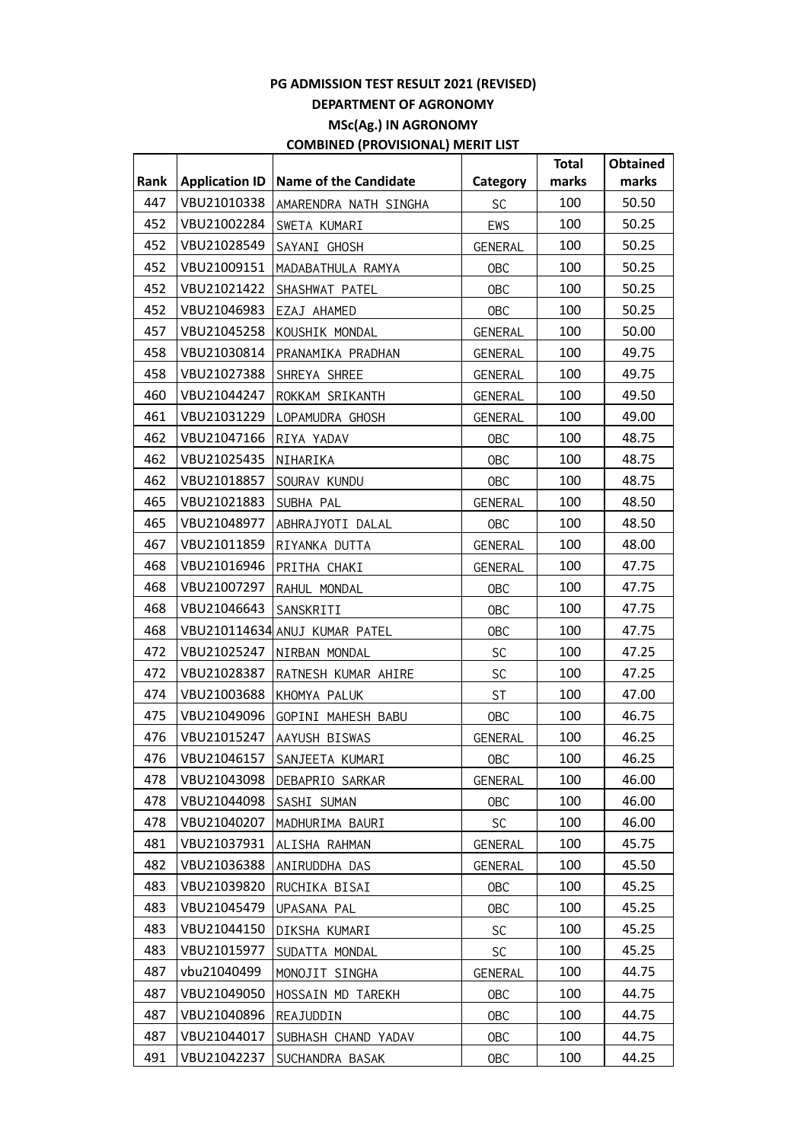|      |                       |                               |                | <b>Total</b> | <b>Obtained</b> |
|------|-----------------------|-------------------------------|----------------|--------------|-----------------|
| Rank | <b>Application ID</b> | <b>Name of the Candidate</b>  | Category       | marks        | marks           |
| 447  | VBU21010338           | AMARENDRA NATH SINGHA         | <b>SC</b>      | 100          | 50.50           |
| 452  | VBU21002284           | SWETA KUMARI                  | EWS            | 100          | 50.25           |
| 452  | VBU21028549           | SAYANI GHOSH                  | <b>GENERAL</b> | 100          | 50.25           |
| 452  | VBU21009151           | MADABATHULA RAMYA             | <b>OBC</b>     | 100          | 50.25           |
| 452  | VBU21021422           | SHASHWAT PATEL                | <b>OBC</b>     | 100          | 50.25           |
| 452  | VBU21046983           | EZAJ AHAMED                   | <b>OBC</b>     | 100          | 50.25           |
| 457  | VBU21045258           | KOUSHIK MONDAL                | <b>GENERAL</b> | 100          | 50.00           |
| 458  | VBU21030814           | PRANAMIKA PRADHAN             | <b>GENERAL</b> | 100          | 49.75           |
| 458  | VBU21027388           | SHREYA SHREE                  | GENERAL        | 100          | 49.75           |
| 460  | VBU21044247           | ROKKAM SRIKANTH               | GENERAL        | 100          | 49.50           |
| 461  | VBU21031229           | LOPAMUDRA GHOSH               | <b>GENERAL</b> | 100          | 49.00           |
| 462  | VBU21047166           | RIYA YADAV                    | <b>OBC</b>     | 100          | 48.75           |
| 462  | VBU21025435           | NIHARIKA                      | <b>OBC</b>     | 100          | 48.75           |
| 462  | VBU21018857           | SOURAV KUNDU                  | <b>OBC</b>     | 100          | 48.75           |
| 465  | VBU21021883           | SUBHA PAL                     | <b>GENERAL</b> | 100          | 48.50           |
| 465  | VBU21048977           | ABHRAJYOTI DALAL              | <b>OBC</b>     | 100          | 48.50           |
| 467  | VBU21011859           | RIYANKA DUTTA                 | GENERAL        | 100          | 48.00           |
| 468  | VBU21016946           | PRITHA CHAKI                  | GENERAL        | 100          | 47.75           |
| 468  | VBU21007297           | RAHUL MONDAL                  | <b>OBC</b>     | 100          | 47.75           |
| 468  | VBU21046643           | SANSKRITI                     | <b>OBC</b>     | 100          | 47.75           |
| 468  |                       | VBU210114634 ANUJ KUMAR PATEL | <b>OBC</b>     | 100          | 47.75           |
| 472  | VBU21025247           | NIRBAN MONDAL                 | SC             | 100          | 47.25           |
| 472  | VBU21028387           | RATNESH KUMAR AHIRE           | SC             | 100          | 47.25           |
| 474  | VBU21003688           | KHOMYA PALUK                  | <b>ST</b>      | 100          | 47.00           |
| 475  | VBU21049096           | GOPINI MAHESH BABU            | OBC            | 100          | 46.75           |
| 476  | VBU21015247           | AAYUSH BISWAS                 | GENERAL        | 100          | 46.25           |
| 476  | VBU21046157           | SANJEETA KUMARI               | 0BC            | 100          | 46.25           |
| 478  | VBU21043098           | DEBAPRIO SARKAR               | <b>GENERAL</b> | 100          | 46.00           |
| 478  | VBU21044098           | SASHI SUMAN                   | <b>OBC</b>     | 100          | 46.00           |
| 478  | VBU21040207           | MADHURIMA BAURI               | SC             | 100          | 46.00           |
| 481  | VBU21037931           | ALISHA RAHMAN                 | <b>GENERAL</b> | 100          | 45.75           |
| 482  | VBU21036388           | ANIRUDDHA DAS                 | GENERAL        | 100          | 45.50           |
| 483  | VBU21039820           | RUCHIKA BISAI                 | <b>OBC</b>     | 100          | 45.25           |
| 483  | VBU21045479           | UPASANA PAL                   | <b>OBC</b>     | 100          | 45.25           |
| 483  | VBU21044150           | DIKSHA KUMARI                 | <b>SC</b>      | 100          | 45.25           |
| 483  | VBU21015977           | SUDATTA MONDAL                | <b>SC</b>      | 100          | 45.25           |
| 487  | vbu21040499           | MONOJIT SINGHA                | GENERAL        | 100          | 44.75           |
| 487  | VBU21049050           | HOSSAIN MD TAREKH             | <b>OBC</b>     | 100          | 44.75           |
| 487  | VBU21040896           | REAJUDDIN                     | <b>OBC</b>     | 100          | 44.75           |
| 487  | VBU21044017           | SUBHASH CHAND YADAV           | <b>OBC</b>     | 100          | 44.75           |
| 491  | VBU21042237           | SUCHANDRA BASAK               | <b>OBC</b>     | 100          | 44.25           |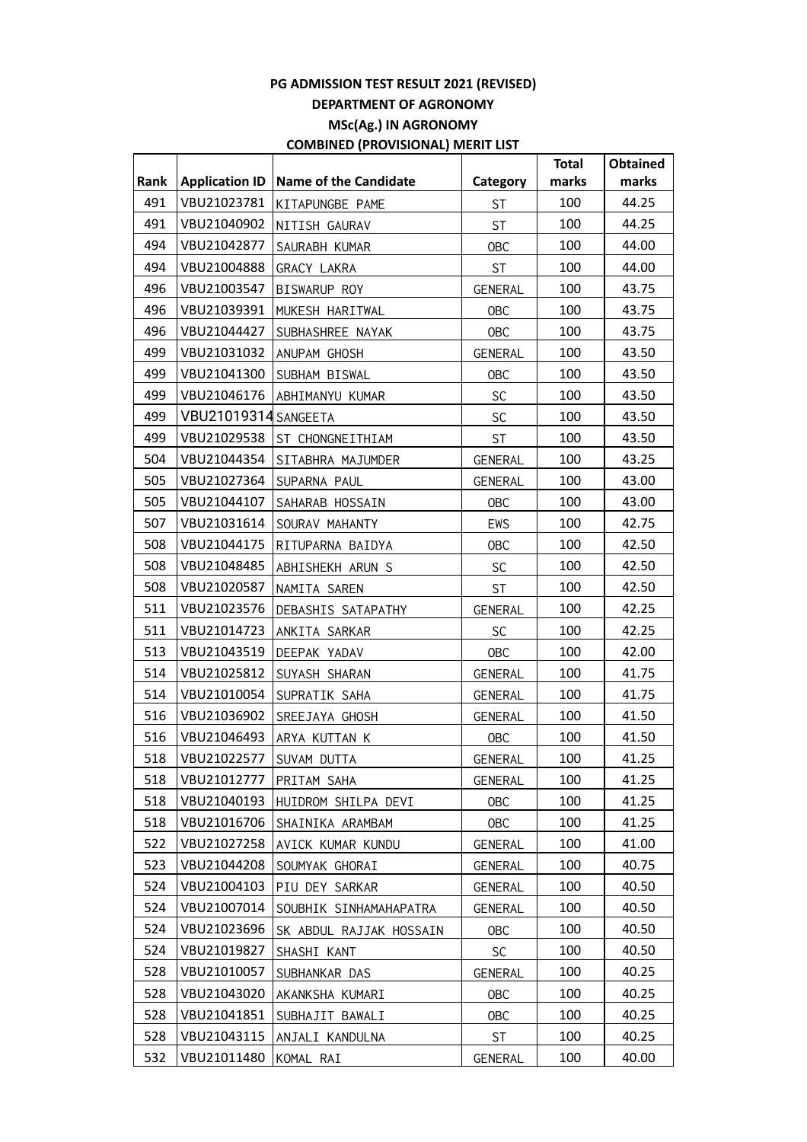|      |                         |                         |                | <b>Total</b> | <b>Obtained</b> |
|------|-------------------------|-------------------------|----------------|--------------|-----------------|
| Rank | <b>Application ID</b>   | Name of the Candidate   | Category       | marks        | marks           |
| 491  | VBU21023781             | KITAPUNGBE PAME         | <b>ST</b>      | 100          | 44.25           |
| 491  | VBU21040902             | NITISH GAURAV           | <b>ST</b>      | 100          | 44.25           |
| 494  | VBU21042877             | SAURABH KUMAR           | <b>OBC</b>     | 100          | 44.00           |
| 494  | VBU21004888             | <b>GRACY LAKRA</b>      | <b>ST</b>      | 100          | 44.00           |
| 496  | VBU21003547             | BISWARUP ROY            | GENERAL        | 100          | 43.75           |
| 496  | VBU21039391             | MUKESH HARITWAL         | OBC            | 100          | 43.75           |
| 496  | VBU21044427             | SUBHASHREE NAYAK        | <b>OBC</b>     | 100          | 43.75           |
| 499  | VBU21031032             | ANUPAM GHOSH            | GENERAL        | 100          | 43.50           |
| 499  | VBU21041300             | SUBHAM BISWAL           | OBC            | 100          | 43.50           |
| 499  | VBU21046176             | ABHIMANYU KUMAR         | SC             | 100          | 43.50           |
| 499  | VBU21019314 SANGEETA    |                         | SC             | 100          | 43.50           |
| 499  | VBU21029538             | ST CHONGNEITHIAM        | <b>ST</b>      | 100          | 43.50           |
| 504  | VBU21044354             | SITABHRA MAJUMDER       | GENERAL        | 100          | 43.25           |
| 505  | VBU21027364             | SUPARNA PAUL            | GENERAL        | 100          | 43.00           |
| 505  | VBU21044107             | SAHARAB HOSSAIN         | <b>OBC</b>     | 100          | 43.00           |
| 507  | VBU21031614             | SOURAV MAHANTY          | EWS            | 100          | 42.75           |
| 508  | VBU21044175             | RITUPARNA BAIDYA        | <b>OBC</b>     | 100          | 42.50           |
| 508  | VBU21048485             | ABHISHEKH ARUN S        | <b>SC</b>      | 100          | 42.50           |
| 508  | VBU21020587             | NAMITA SAREN            | <b>ST</b>      | 100          | 42.50           |
| 511  | VBU21023576             | DEBASHIS SATAPATHY      | <b>GENERAL</b> | 100          | 42.25           |
| 511  | VBU21014723             | ANKITA SARKAR           | <b>SC</b>      | 100          | 42.25           |
| 513  | VBU21043519             | DEEPAK YADAV            | <b>OBC</b>     | 100          | 42.00           |
| 514  | VBU21025812             | SUYASH SHARAN           | GENERAL        | 100          | 41.75           |
| 514  | VBU21010054             | SUPRATIK SAHA           | GENERAL        | 100          | 41.75           |
| 516  | VBU21036902             | SREEJAYA GHOSH          | <b>GENERAL</b> | 100          | 41.50           |
| 516  | VBU21046493             | ARYA KUTTAN K           | <b>OBC</b>     | 100          | 41.50           |
| 518  | VBU21022577 SUVAM DUTTA |                         | GENERAL        | 100          | 41.25           |
| 518  | VBU21012777             | PRITAM SAHA             | GENERAL        | 100          | 41.25           |
| 518  | VBU21040193             | HUIDROM SHILPA DEVI     | 0BC            | 100          | 41.25           |
| 518  | VBU21016706             | SHAINIKA ARAMBAM        | <b>OBC</b>     | 100          | 41.25           |
| 522  | VBU21027258             | AVICK KUMAR KUNDU       | GENERAL        | 100          | 41.00           |
| 523  | VBU21044208             | SOUMYAK GHORAI          | GENERAL        | 100          | 40.75           |
| 524  | VBU21004103             | PIU DEY SARKAR          | <b>GENERAL</b> | 100          | 40.50           |
| 524  | VBU21007014             | SOUBHIK SINHAMAHAPATRA  | <b>GENERAL</b> | 100          | 40.50           |
| 524  | VBU21023696             | SK ABDUL RAJJAK HOSSAIN | <b>OBC</b>     | 100          | 40.50           |
| 524  | VBU21019827             | SHASHI KANT             | <b>SC</b>      | 100          | 40.50           |
| 528  | VBU21010057             | SUBHANKAR DAS           | <b>GENERAL</b> | 100          | 40.25           |
| 528  | VBU21043020             | AKANKSHA KUMARI         | <b>OBC</b>     | 100          | 40.25           |
| 528  | VBU21041851             | SUBHAJIT BAWALI         | <b>OBC</b>     | 100          | 40.25           |
| 528  | VBU21043115             | ANJALI KANDULNA         | ST             | 100          | 40.25           |
| 532  | VBU21011480             | KOMAL RAI               | <b>GENERAL</b> | 100          | 40.00           |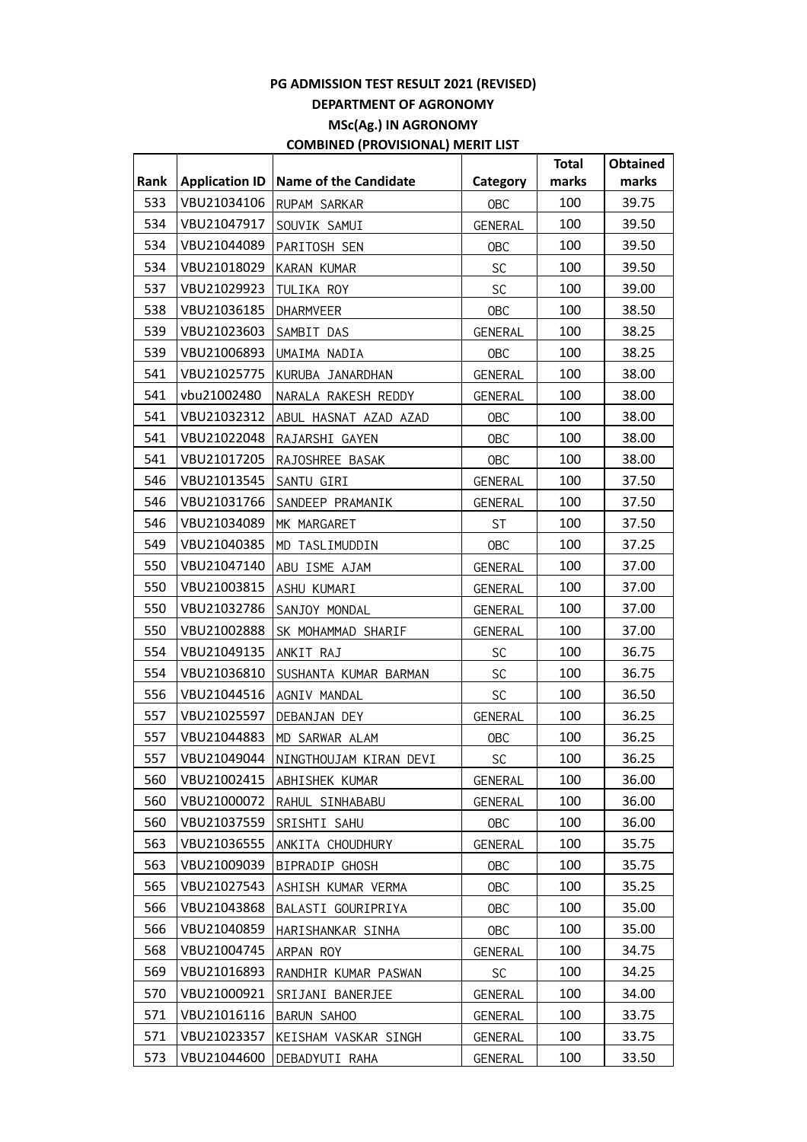|      |                       |                                      |                | <b>Total</b> | <b>Obtained</b> |
|------|-----------------------|--------------------------------------|----------------|--------------|-----------------|
| Rank | <b>Application ID</b> | <b>Name of the Candidate</b>         | Category       | marks        | marks           |
| 533  | VBU21034106           | RUPAM SARKAR                         | OBC            | 100          | 39.75           |
| 534  | VBU21047917           | SOUVIK SAMUI                         | GENERAL        | 100          | 39.50           |
| 534  | VBU21044089           | PARITOSH SEN                         | OBC            | 100          | 39.50           |
| 534  | VBU21018029           | KARAN KUMAR                          | <b>SC</b>      | 100          | 39.50           |
| 537  | VBU21029923           | TULIKA ROY                           | <b>SC</b>      | 100          | 39.00           |
| 538  | VBU21036185           | <b>DHARMVEER</b>                     | OBC            | 100          | 38.50           |
| 539  | VBU21023603           | SAMBIT DAS                           | <b>GENERAL</b> | 100          | 38.25           |
| 539  | VBU21006893           | UMAIMA NADIA                         | OBC            | 100          | 38.25           |
| 541  | VBU21025775           | KURUBA JANARDHAN                     | GENERAL        | 100          | 38.00           |
| 541  | vbu21002480           | NARALA RAKESH REDDY                  | GENERAL        | 100          | 38.00           |
| 541  | VBU21032312           | ABUL HASNAT AZAD AZAD                | OBC            | 100          | 38.00           |
| 541  | VBU21022048           | RAJARSHI GAYEN                       | <b>OBC</b>     | 100          | 38.00           |
| 541  | VBU21017205           | RAJOSHREE BASAK                      | OBC            | 100          | 38.00           |
| 546  | VBU21013545           | SANTU GIRI                           | GENERAL        | 100          | 37.50           |
| 546  | VBU21031766           | SANDEEP PRAMANIK                     | GENERAL        | 100          | 37.50           |
| 546  | VBU21034089           | MK MARGARET                          | <b>ST</b>      | 100          | 37.50           |
| 549  | VBU21040385           | MD TASLIMUDDIN                       | OBC            | 100          | 37.25           |
| 550  | VBU21047140           | ABU ISME AJAM                        | GENERAL        | 100          | 37.00           |
| 550  | VBU21003815           | ASHU KUMARI                          | GENERAL        | 100          | 37.00           |
| 550  | VBU21032786           | SANJOY MONDAL                        | <b>GENERAL</b> | 100          | 37.00           |
| 550  | VBU21002888           | SK MOHAMMAD SHARIF                   | GENERAL        | 100          | 37.00           |
| 554  | VBU21049135           | ANKIT RAJ                            | SC             | 100          | 36.75           |
| 554  | VBU21036810           | SUSHANTA KUMAR BARMAN                | <b>SC</b>      | 100          | 36.75           |
| 556  | VBU21044516           | AGNIV MANDAL                         | SC             | 100          | 36.50           |
| 557  | VBU21025597           | DEBANJAN DEY                         | <b>GENERAL</b> | 100          | 36.25           |
| 557  | VBU21044883           | MD SARWAR ALAM                       | <b>OBC</b>     | 100          | 36.25           |
| 557  |                       | VBU21049044   NINGTHOUJAM KIRAN DEVI | SC             | 100          | 36.25           |
| 560  | VBU21002415           | ABHISHEK KUMAR                       | GENERAL        | 100          | 36.00           |
| 560  | VBU21000072           | RAHUL SINHABABU                      | GENERAL        | 100          | 36.00           |
| 560  | VBU21037559           | SRISHTI SAHU                         | OBC            | 100          | 36.00           |
| 563  | VBU21036555           | ANKITA CHOUDHURY                     | <b>GENERAL</b> | 100          | 35.75           |
| 563  | VBU21009039           | BIPRADIP GHOSH                       | <b>OBC</b>     | 100          | 35.75           |
| 565  | VBU21027543           | ASHISH KUMAR VERMA                   | <b>OBC</b>     | 100          | 35.25           |
| 566  | VBU21043868           | BALASTI GOURIPRIYA                   | <b>OBC</b>     | 100          | 35.00           |
| 566  | VBU21040859           | HARISHANKAR SINHA                    | <b>OBC</b>     | 100          | 35.00           |
| 568  | VBU21004745           | ARPAN ROY                            | <b>GENERAL</b> | 100          | 34.75           |
| 569  | VBU21016893           | RANDHIR KUMAR PASWAN                 | <b>SC</b>      | 100          | 34.25           |
| 570  | VBU21000921           | SRIJANI BANERJEE                     | GENERAL        | 100          | 34.00           |
| 571  | VBU21016116           | BARUN SAHOO                          | GENERAL        | 100          | 33.75           |
| 571  | VBU21023357           | KEISHAM VASKAR SINGH                 | GENERAL        | 100          | 33.75           |
| 573  | VBU21044600           | DEBADYUTI RAHA                       | GENERAL        | 100          | 33.50           |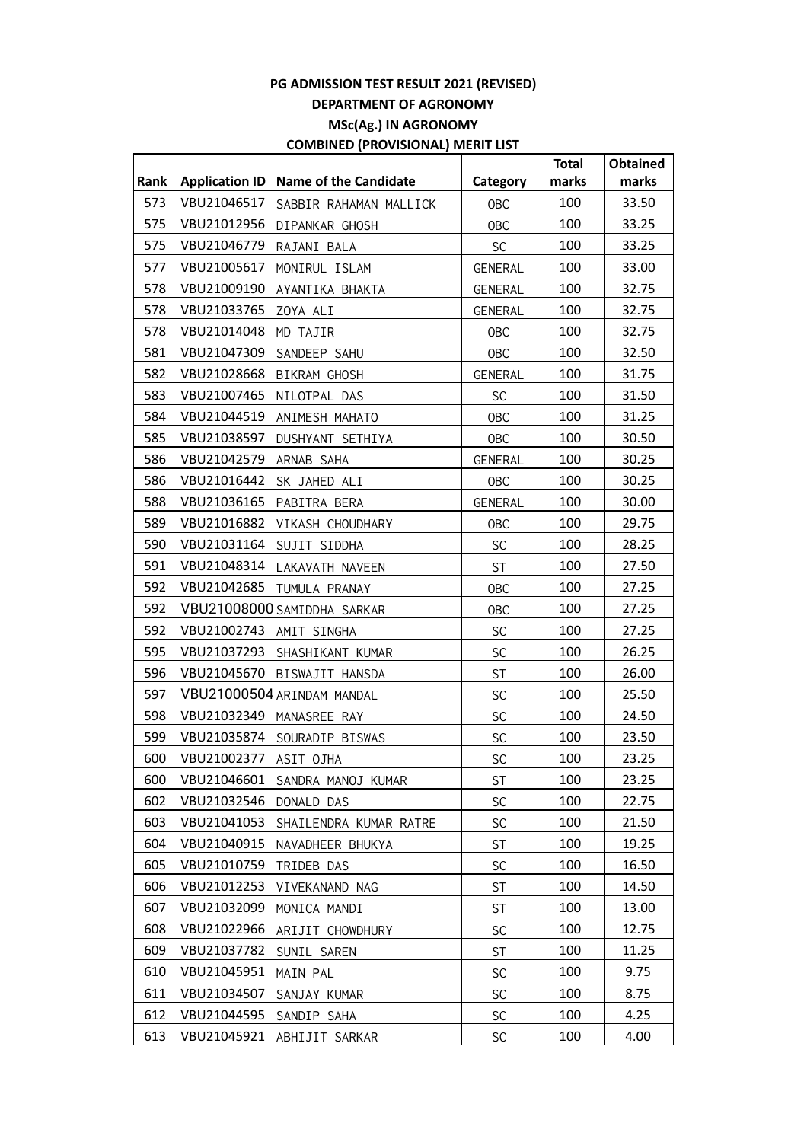|      |                       |                              |                | <b>Total</b> | <b>Obtained</b> |
|------|-----------------------|------------------------------|----------------|--------------|-----------------|
| Rank | <b>Application ID</b> | <b>Name of the Candidate</b> | Category       | marks        | marks           |
| 573  | VBU21046517           | SABBIR RAHAMAN MALLICK       | <b>OBC</b>     | 100          | 33.50           |
| 575  | VBU21012956           | DIPANKAR GHOSH               | <b>OBC</b>     | 100          | 33.25           |
| 575  | VBU21046779           | RAJANI BALA                  | <b>SC</b>      | 100          | 33.25           |
| 577  | VBU21005617           | MONIRUL ISLAM                | <b>GENERAL</b> | 100          | 33.00           |
| 578  | VBU21009190           | AYANTIKA BHAKTA              | GENERAL        | 100          | 32.75           |
| 578  | VBU21033765           | ZOYA ALI                     | <b>GENERAL</b> | 100          | 32.75           |
| 578  | VBU21014048           | MD TAJIR                     | <b>OBC</b>     | 100          | 32.75           |
| 581  | VBU21047309           | SANDEEP SAHU                 | <b>OBC</b>     | 100          | 32.50           |
| 582  | VBU21028668           | <b>BIKRAM GHOSH</b>          | GENERAL        | 100          | 31.75           |
| 583  | VBU21007465           | NILOTPAL DAS                 | SC             | 100          | 31.50           |
| 584  | VBU21044519           | ANIMESH MAHATO               | <b>OBC</b>     | 100          | 31.25           |
| 585  | VBU21038597           | DUSHYANT SETHIYA             | <b>OBC</b>     | 100          | 30.50           |
| 586  | VBU21042579           | ARNAB SAHA                   | GENERAL        | 100          | 30.25           |
| 586  | VBU21016442           | SK JAHED ALI                 | <b>OBC</b>     | 100          | 30.25           |
| 588  | VBU21036165           | PABITRA BERA                 | <b>GENERAL</b> | 100          | 30.00           |
| 589  | VBU21016882           | VIKASH CHOUDHARY             | <b>OBC</b>     | 100          | 29.75           |
| 590  | VBU21031164           | SUJIT SIDDHA                 | <b>SC</b>      | 100          | 28.25           |
| 591  | VBU21048314           | LAKAVATH NAVEEN              | <b>ST</b>      | 100          | 27.50           |
| 592  | VBU21042685           | TUMULA PRANAY                | <b>OBC</b>     | 100          | 27.25           |
| 592  |                       | VBU21008000 SAMIDDHA SARKAR  | <b>OBC</b>     | 100          | 27.25           |
| 592  | VBU21002743           | AMIT SINGHA                  | SC             | 100          | 27.25           |
| 595  | VBU21037293           | SHASHIKANT KUMAR             | SC             | 100          | 26.25           |
| 596  | VBU21045670           | BISWAJIT HANSDA              | <b>ST</b>      | 100          | 26.00           |
| 597  |                       | VBU21000504 ARINDAM MANDAL   | SC             | 100          | 25.50           |
| 598  | VBU21032349           | MANASREE RAY                 | SC             | 100          | 24.50           |
| 599  | VBU21035874           | SOURADIP BISWAS              | SC             | 100          | 23.50           |
| 600  | VBU21002377           | AS <u>IT OJHA</u>            | SC             | 100          | 23.25           |
| 600  | VBU21046601           | SANDRA MANOJ KUMAR           | ST             | 100          | 23.25           |
| 602  | VBU21032546           | DONALD DAS                   | <b>SC</b>      | 100          | 22.75           |
| 603  | VBU21041053           | SHAILENDRA KUMAR RATRE       | <b>SC</b>      | 100          | 21.50           |
| 604  | VBU21040915           | NAVADHEER BHUKYA             | ST             | 100          | 19.25           |
| 605  | VBU21010759           | TRIDEB DAS                   | <b>SC</b>      | 100          | 16.50           |
| 606  | VBU21012253           | VIVEKANAND NAG               | <b>ST</b>      | 100          | 14.50           |
| 607  | VBU21032099           | MONICA MANDI                 | <b>ST</b>      | 100          | 13.00           |
| 608  | VBU21022966           | ARIJIT CHOWDHURY             | <b>SC</b>      | 100          | 12.75           |
| 609  | VBU21037782           | SUNIL SAREN                  | ST             | 100          | 11.25           |
| 610  | VBU21045951           | MAIN PAL                     | <b>SC</b>      | 100          | 9.75            |
| 611  | VBU21034507           | SANJAY KUMAR                 | <b>SC</b>      | 100          | 8.75            |
| 612  | VBU21044595           | SANDIP SAHA                  | <b>SC</b>      | 100          | 4.25            |
| 613  | VBU21045921           | ABHIJIT SARKAR               | SC             | 100          | 4.00            |